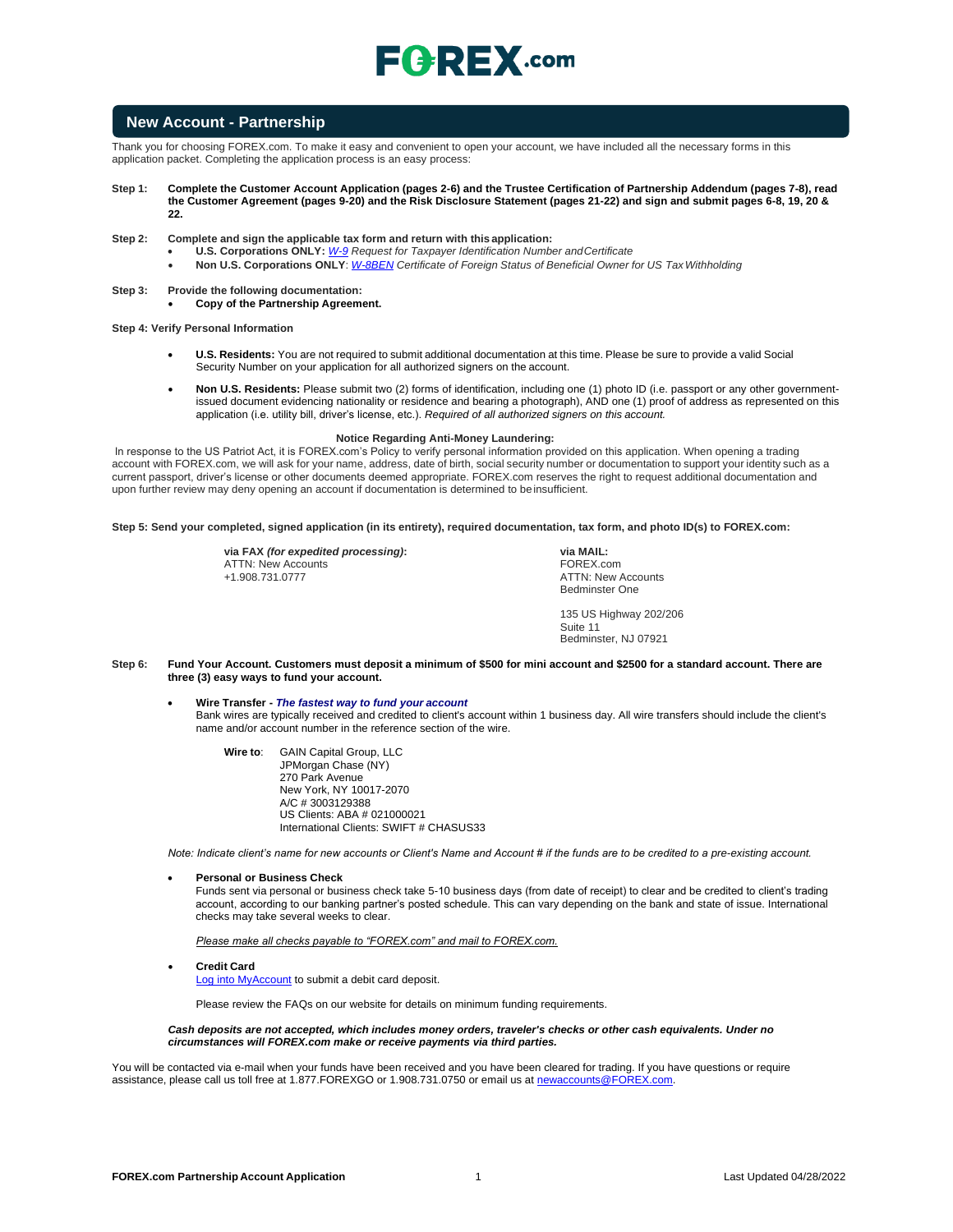## $E$ **C**  $R$ **EX** .com

### **New Account - Partnership**

Thank you for choosing FOREX.com. To make it easy and convenient to open your account, we have included all the necessary forms in this application packet. Completing the application process is an easy process:

- **Step 1: Complete the Customer Account Application (pages 2-6) and the Trustee Certification of Partnership Addendum (pages 7-8), read the Customer Agreement (pages 9-20) and the Risk Disclosure Statement (pages 21-22) and sign and submit pages 6-8, 19, 20 & 22.**
- **Step 2: Complete and sign the applicable tax form and return with this application:**
	- **U.S. Corporations ONLY:** *[W-9](https://www.irs.gov/pub/irs-pdf/fw9.pdf) Request for Taxpayer Identification Number andCertificate*
	- **Non U.S. Corporations ONLY**: *[W-8BEN](https://www.irs.gov/pub/irs-pdf/fw8ben.pdf) Certificate of Foreign Status of Beneficial Owner for US TaxWithholding*
- **Step 3: Provide the following documentation:**
	- **Copy of the Partnership Agreement.**

**Step 4: Verify Personal Information**

- **U.S. Residents:** You are not required to submit additional documentation at this time. Please be sure to provide a valid Social Security Number on your application for all authorized signers on the account.
- **Non U.S. Residents:** Please submit two (2) forms of identification, including one (1) photo ID (i.e. passport or any other governmentissued document evidencing nationality or residence and bearing a photograph), AND one (1) proof of address as represented on this application (i.e. utility bill, driver's license, etc.). *Required of all authorized signers on this account.*

#### **Notice Regarding Anti-Money Laundering:**

In response to the US Patriot Act, it is FOREX.com's Policy to verify personal information provided on this application. When opening a trading account with FOREX.com, we will ask for your name, address, date of birth, social security number or documentation to support your identity such as a current passport, driver's license or other documents deemed appropriate. FOREX.com reserves the right to request additional documentation and upon further review may deny opening an account if documentation is determined to be insufficient.

**Step 5: Send your completed, signed application (in its entirety), required documentation, tax form, and photo ID(s) to FOREX.com:**

**via FAX** *(for expedited processing)***:** ATTN: New Accounts +1.908.731.0777

**via MAIL:** FOREX.com ATTN: New Accounts Bedminster One

135 US Highway 202/206 Suite 11 Bedminster, NJ 07921

- **Step 6: Fund Your Account. Customers must deposit a minimum of \$500 for mini account and \$2500 for a standard account. There are three (3) easy ways to fund your account.**
	- **Wire Transfer -** *The fastest way to fund your account* Bank wires are typically received and credited to client's account within 1 business day. All wire transfers should include the client's name and/or account number in the reference section of the wire.
		- **Wire to**: GAIN Capital Group, LLC JPMorgan Chase (NY) 270 Park Avenue New York, NY 10017-2070 A/C # 3003129388 US Clients: ABA # 021000021 International Clients: SWIFT # CHASUS33

*Note: Indicate client's name for new accounts or Client's Name and Account # if the funds are to be credited to a pre-existing account.*

• **Personal or Business Check**

Funds sent via personal or business check take 5-10 business days (from date of receipt) to clear and be credited to client's trading account, according to our banking partner's posted schedule. This can vary depending on the bank and state of issue. International checks may take several weeks to clear.

*Please make all checks payable to "FOREX.com" and mail to FOREX.com.*

• **Credit Card**

[Log into MyAccount](http://www.forex.com/myaccount.html) to submit a debit card deposit.

Please review the FAQs on our website for details on minimum funding requirements.

#### *Cash deposits are not accepted, which includes money orders, traveler's checks or other cash equivalents. Under no circumstances will FOREX.com make or receive payments via third parties.*

You will be contacted via e-mail when your funds have been received and you have been cleared for trading. If you have questions or require assistance, please call us toll free at 1.877.FOREXGO or 1.908.731.0750 or email us a[t newaccounts@FOREX.com.](mailto:info@fxadvantage.com)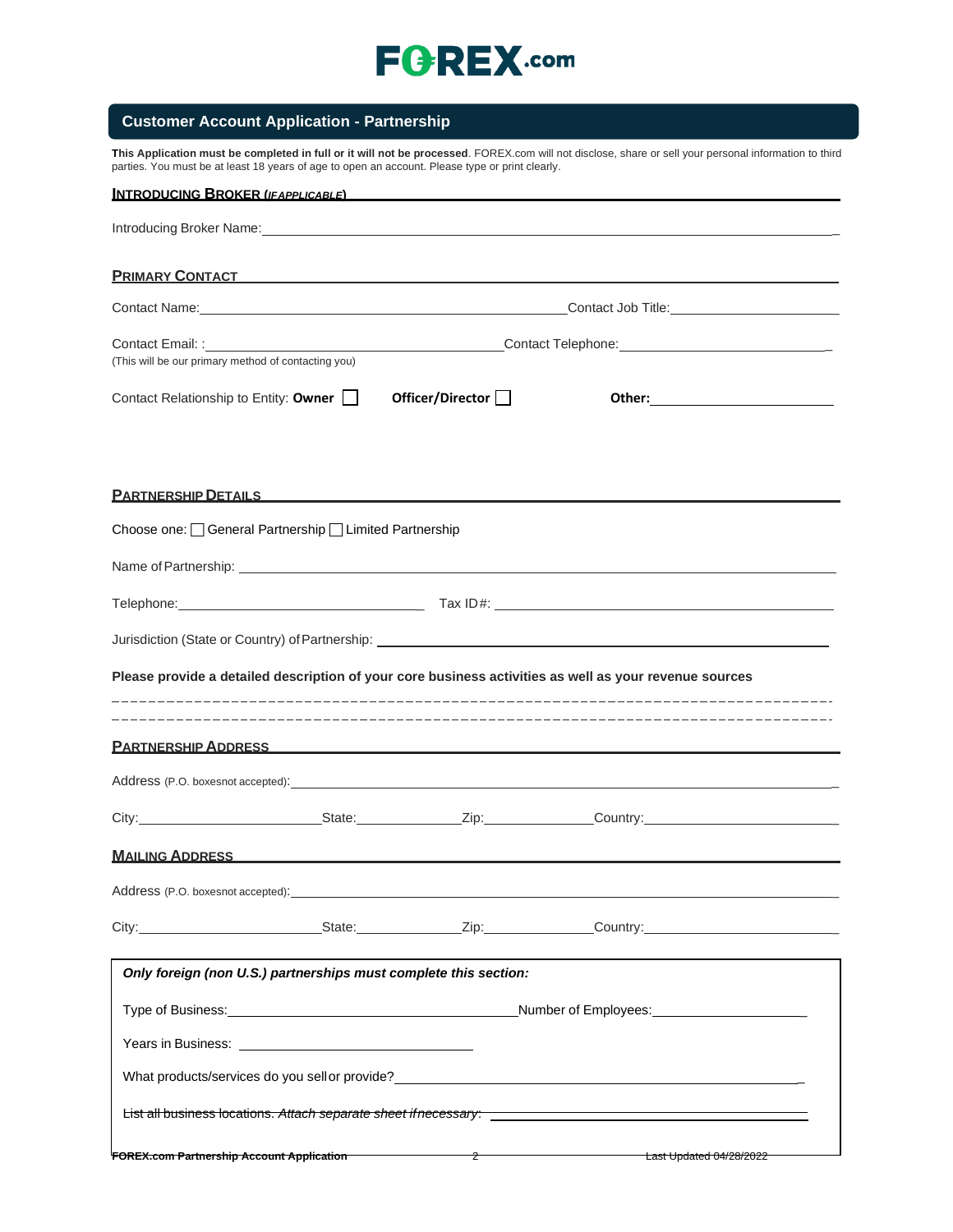## **Customer Account Application - Partnership**

**This Application must be completed in full or it will not be processed**. FOREX.com will not disclose, share or sell your personal information to third parties. You must be at least 18 years of age to open an account. Please type or print clearly.

| <b>INTRODUCING BROKER (IFAPPLICABLE)</b>                                                                                                                                                                                             |                         |
|--------------------------------------------------------------------------------------------------------------------------------------------------------------------------------------------------------------------------------------|-------------------------|
|                                                                                                                                                                                                                                      |                         |
| PRIMARY CONTACT <b>Example 2018</b>                                                                                                                                                                                                  |                         |
|                                                                                                                                                                                                                                      |                         |
| (This will be our primary method of contacting you)                                                                                                                                                                                  |                         |
| Contact Relationship to Entity: Owner<br>Officer/Director $\Box$                                                                                                                                                                     |                         |
| <u>PARTNERSHIP DETAILS FOR A STRINGER STRINGER SHIP DETAILS FOR A STRINGER SHIP OF STRINGER STRINGER SHIP OF STRINGER STRINGER STRINGER STRINGER STRINGER STRINGER STRINGER STRINGER STRINGER STRINGER STRINGER STRINGER STRINGE</u> |                         |
| Choose one: General Partnership Limited Partnership                                                                                                                                                                                  |                         |
|                                                                                                                                                                                                                                      |                         |
|                                                                                                                                                                                                                                      |                         |
| Jurisdiction (State or Country) of Partnership: ________________________________                                                                                                                                                     |                         |
| Please provide a detailed description of your core business activities as well as your revenue sources                                                                                                                               |                         |
|                                                                                                                                                                                                                                      |                         |
| <b>PARTNERSHIP ADDRESS AND ARTICLE IN A PARTNERSHIP ADDRESS</b>                                                                                                                                                                      |                         |
| Address (P.O. boxesnot accepted): example and a series of the series of the series of the series of the series of the series of the series of the series of the series of the series of the series of the series of the series       |                         |
|                                                                                                                                                                                                                                      |                         |
| <b>MAILING ADDRESS</b>                                                                                                                                                                                                               |                         |
| Address (P.O. boxesnot accepted):<br>and the control of the control of the control of the control of the control of the control of the control of the                                                                                |                         |
|                                                                                                                                                                                                                                      |                         |
| Only foreign (non U.S.) partnerships must complete this section:                                                                                                                                                                     |                         |
|                                                                                                                                                                                                                                      |                         |
|                                                                                                                                                                                                                                      |                         |
| What products/services do you sell or provide?<br>Services and the services of the service of the service of the service of the service of the service of the service of the service of the service of the service of the servic     |                         |
| List all business locations. Attach separate sheet if necessary: ______________________                                                                                                                                              |                         |
| $\overline{\phantom{a}}$ 2<br>FOREX.com Partnership Account Application                                                                                                                                                              | Last Updated 04/28/2022 |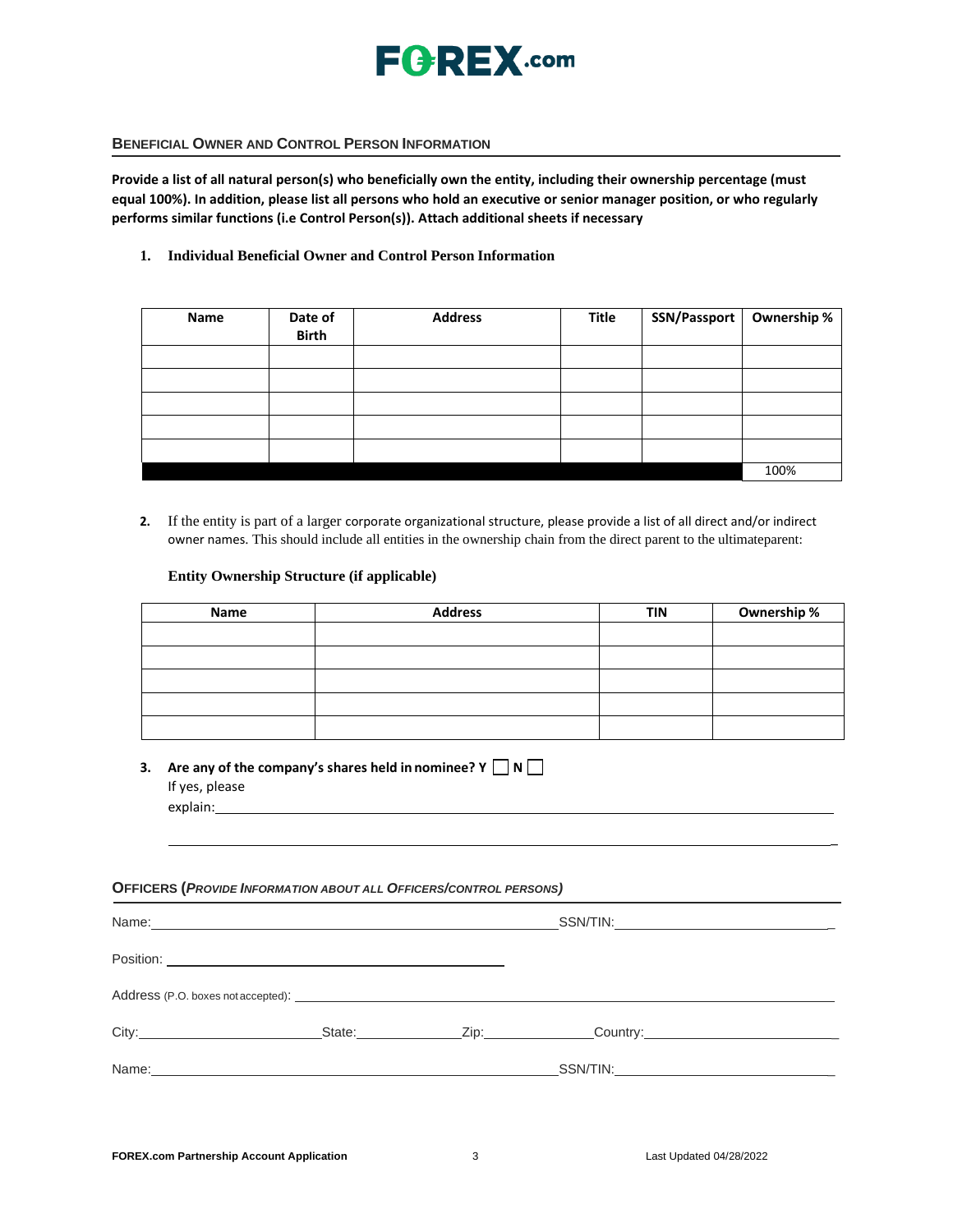

### **BENEFICIAL OWNER AND CONTROL PERSON INFORMATION**

**Provide a list of all natural person(s) who beneficially own the entity, including their ownership percentage (must equal 100%). In addition, please list all persons who hold an executive or senior manager position, or who regularly performs similar functions (i.e Control Person(s)). Attach additional sheets if necessary**

### **1. Individual Beneficial Owner and Control Person Information**

| Name | Date of<br><b>Birth</b> | <b>Address</b> | Title | SSN/Passport | Ownership % |
|------|-------------------------|----------------|-------|--------------|-------------|
|      |                         |                |       |              |             |
|      |                         |                |       |              |             |
|      |                         |                |       |              |             |
|      |                         |                |       |              |             |
|      |                         |                |       |              |             |
|      |                         |                |       |              | 100%        |

**2.** If the entity is part of a larger corporate organizational structure, please provide a list of all direct and/or indirect owner names. This should include all entities in the ownership chain from the direct parent to the ultimateparent:

### **Entity Ownership Structure (if applicable)**

| Name | <b>Address</b> | <b>TIN</b> | Ownership % |
|------|----------------|------------|-------------|
|      |                |            |             |
|      |                |            |             |
|      |                |            |             |
|      |                |            |             |
|      |                |            |             |

**3. Are any of the company's shares held in nominee? Y N** If yes, please explain:

#### **OFFICERS (***PROVIDE INFORMATION ABOUT ALL OFFICERS/CONTROL PERSONS)*

| Name: 2008. 2009. 2009. 2009. 2009. 2009. 2009. 2009. 2009. 2009. 2009. 2009. 2009. 2009. 2009. 2009. 2009. 20 |  |                                                |
|----------------------------------------------------------------------------------------------------------------|--|------------------------------------------------|
|                                                                                                                |  |                                                |
|                                                                                                                |  |                                                |
|                                                                                                                |  | $\begin{array}{c} \text{Country:} \end{array}$ |
|                                                                                                                |  |                                                |

\_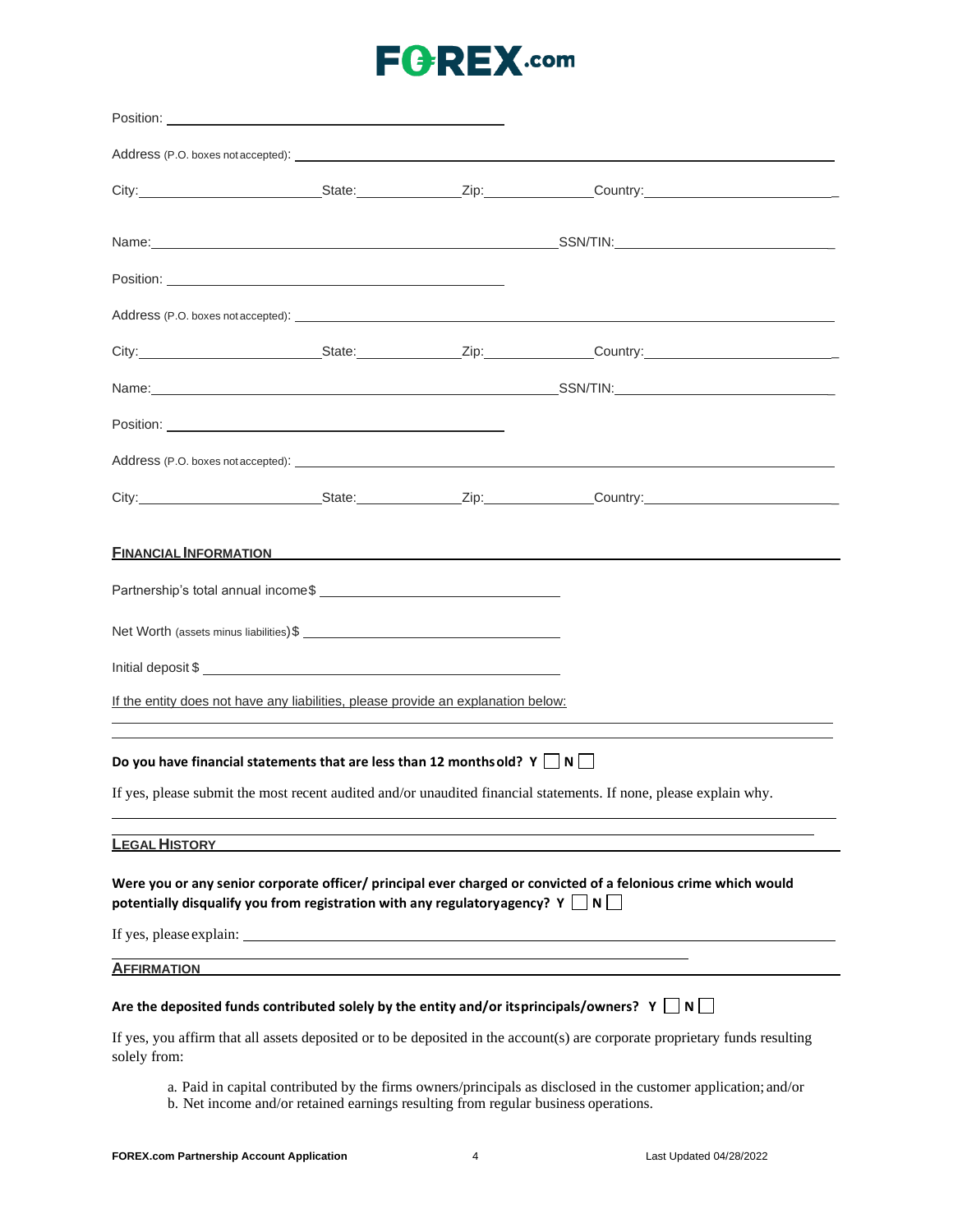|                      |                                                                                                                      | Address (P.O. boxes not accepted): <u>example and a series</u> and a series of the series of the series of the series of the series of the series of the series of the series of the series of the series of the series of the seri           |
|----------------------|----------------------------------------------------------------------------------------------------------------------|-----------------------------------------------------------------------------------------------------------------------------------------------------------------------------------------------------------------------------------------------|
|                      |                                                                                                                      |                                                                                                                                                                                                                                               |
|                      | <b>FINANCIAL INFORMATION</b>                                                                                         |                                                                                                                                                                                                                                               |
|                      | If the entity does not have any liabilities, please provide an explanation below:                                    |                                                                                                                                                                                                                                               |
|                      | Do you have financial statements that are less than 12 months old? $Y \Box N$                                        |                                                                                                                                                                                                                                               |
|                      |                                                                                                                      | If yes, please submit the most recent audited and/or unaudited financial statements. If none, please explain why.                                                                                                                             |
| <b>LEGAL HISTORY</b> |                                                                                                                      |                                                                                                                                                                                                                                               |
|                      | potentially disqualify you from registration with any regulatoryagency? Y $\Box$ N $\Box$<br>If yes, please explain: | Were you or any senior corporate officer/ principal ever charged or convicted of a felonious crime which would                                                                                                                                |
| <b>AFFIRMATION</b>   |                                                                                                                      |                                                                                                                                                                                                                                               |
|                      |                                                                                                                      | Are the deposited funds contributed solely by the entity and/or itsprincipals/owners? Y $\Box$ N $\Box$                                                                                                                                       |
| solely from:         |                                                                                                                      | If yes, you affirm that all assets deposited or to be deposited in the account(s) are corporate proprietary funds resulting<br>a. Paid in capital contributed by the firms owners/principals as disclosed in the customer application; and/or |
|                      |                                                                                                                      |                                                                                                                                                                                                                                               |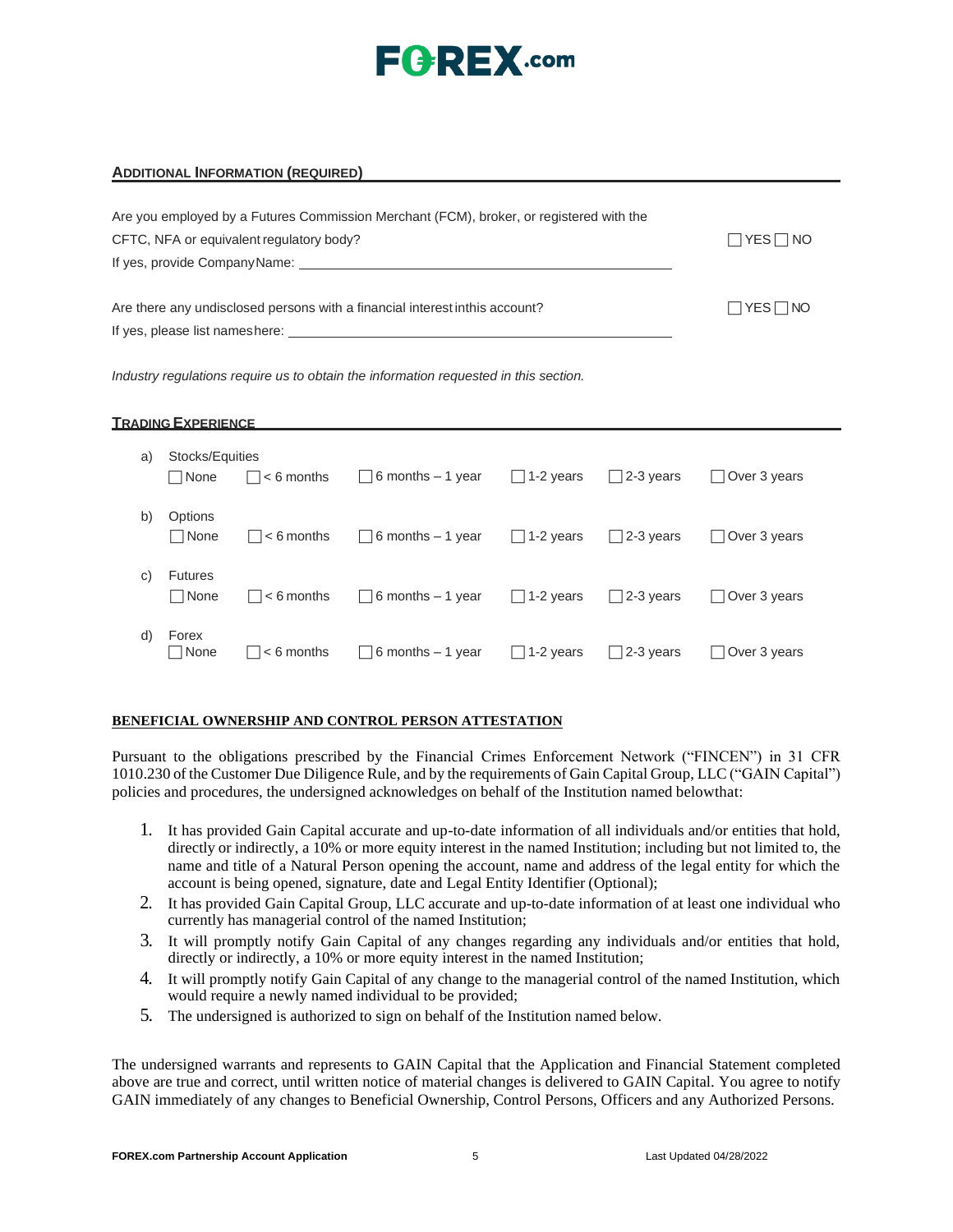

#### **ADDITIONAL INFORMATION (REQUIRED)**

| Are you employed by a Futures Commission Merchant (FCM), broker, or registered with the<br>CFTC, NFA or equivalent regulatory body?<br>If yes, provide Company Name:                                                                                                                                          | $\Box$ YES $\Box$ NO |
|---------------------------------------------------------------------------------------------------------------------------------------------------------------------------------------------------------------------------------------------------------------------------------------------------------------|----------------------|
| Are there any undisclosed persons with a financial interest inthis account?<br>If yes, please list nameshere: example and the set of the set of the set of the set of the set of the set of the set of the set of the set of the set of the set of the set of the set of the set of the set of the set of the | $\Box$ YES $\Box$ NO |

*Industry regulations require us to obtain the information requested in this section.*

#### **TRADING EXPERIENCE**

| a) | Stocks/Equities<br>□ None     | $\vert \vert$ $<$ 6 months | $\Box$ 6 months – 1 year  | $\Box$ 1-2 years | $\Box$ 2-3 years  | Over 3 years           |
|----|-------------------------------|----------------------------|---------------------------|------------------|-------------------|------------------------|
| b) | Options<br>$\Box$ None        | $\vert \vert$ $<$ 6 months | $\Box$ 6 months – 1 year  | $\Box$ 1-2 years | $\Box$ 2-3 years  | $\vert$   Over 3 years |
| C) | <b>Futures</b><br>$\Box$ None | $\vert \vert$ $<$ 6 months | $\Box$ 6 months – 1 year  | $\Box$ 1-2 years | $\Box$ 2-3 years  | Over 3 years           |
| d) | Forex<br>$\Box$ None          | $\vert \vert$ $<$ 6 months | $\Box$ 6 months $-1$ year | $\Box$ 1-2 years | $\vert$ 2-3 years | Over 3 years           |

#### **BENEFICIAL OWNERSHIP AND CONTROL PERSON ATTESTATION**

Pursuant to the obligations prescribed by the Financial Crimes Enforcement Network ("FINCEN") in 31 CFR 1010.230 of the Customer Due Diligence Rule, and by the requirements of Gain Capital Group, LLC ("GAIN Capital") policies and procedures, the undersigned acknowledges on behalf of the Institution named belowthat:

- 1. It has provided Gain Capital accurate and up-to-date information of all individuals and/or entities that hold, directly or indirectly, a 10% or more equity interest in the named Institution; including but not limited to, the name and title of a Natural Person opening the account, name and address of the legal entity for which the account is being opened, signature, date and Legal Entity Identifier (Optional);
- 2. It has provided Gain Capital Group, LLC accurate and up-to-date information of at least one individual who currently has managerial control of the named Institution;
- 3. It will promptly notify Gain Capital of any changes regarding any individuals and/or entities that hold, directly or indirectly, a 10% or more equity interest in the named Institution;
- 4. It will promptly notify Gain Capital of any change to the managerial control of the named Institution, which would require a newly named individual to be provided;
- 5. The undersigned is authorized to sign on behalf of the Institution named below.

The undersigned warrants and represents to GAIN Capital that the Application and Financial Statement completed above are true and correct, until written notice of material changes is delivered to GAIN Capital. You agree to notify GAIN immediately of any changes to Beneficial Ownership, Control Persons, Officers and any Authorized Persons.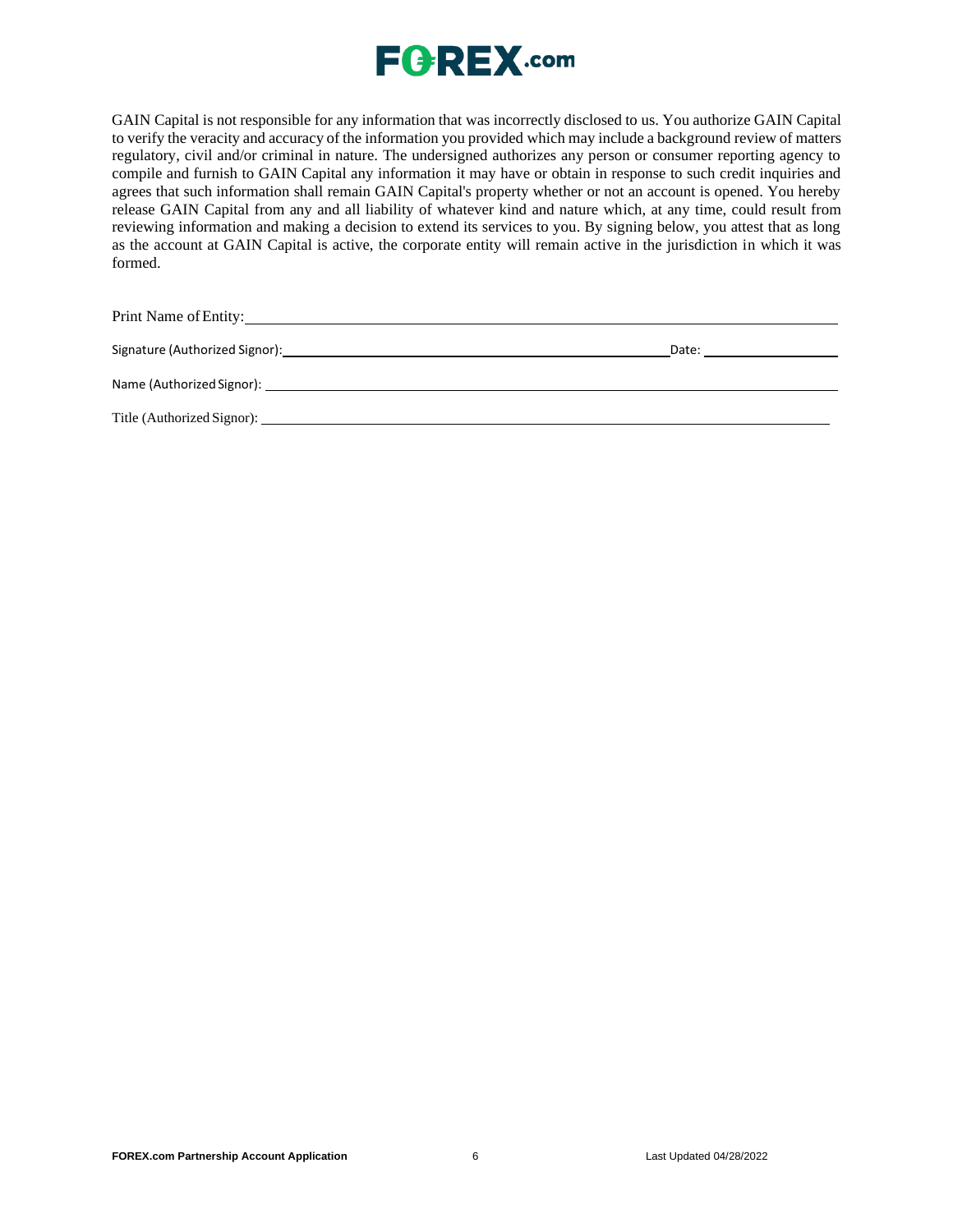

GAIN Capital is not responsible for any information that was incorrectly disclosed to us. You authorize GAIN Capital to verify the veracity and accuracy of the information you provided which may include a background review of matters regulatory, civil and/or criminal in nature. The undersigned authorizes any person or consumer reporting agency to compile and furnish to GAIN Capital any information it may have or obtain in response to such credit inquiries and agrees that such information shall remain GAIN Capital's property whether or not an account is opened. You hereby release GAIN Capital from any and all liability of whatever kind and nature which, at any time, could result from reviewing information and making a decision to extend its services to you. By signing below, you attest that as long as the account at GAIN Capital is active, the corporate entity will remain active in the jurisdiction in which it was formed.

Print Name of Entity: University of Entity:

Signature (Authorized Signor): Date: Date: Date: Date: Date: Date: Date: Date: Date: Date: Date: Date: Date: Date: Date: Date: Date: Date: Date: Date: Date: Date: Date: Date: Date: Date: Date: Date: Date: Date: Date: Date:

Name (Authorized Signor):

Title (Authorized Signor):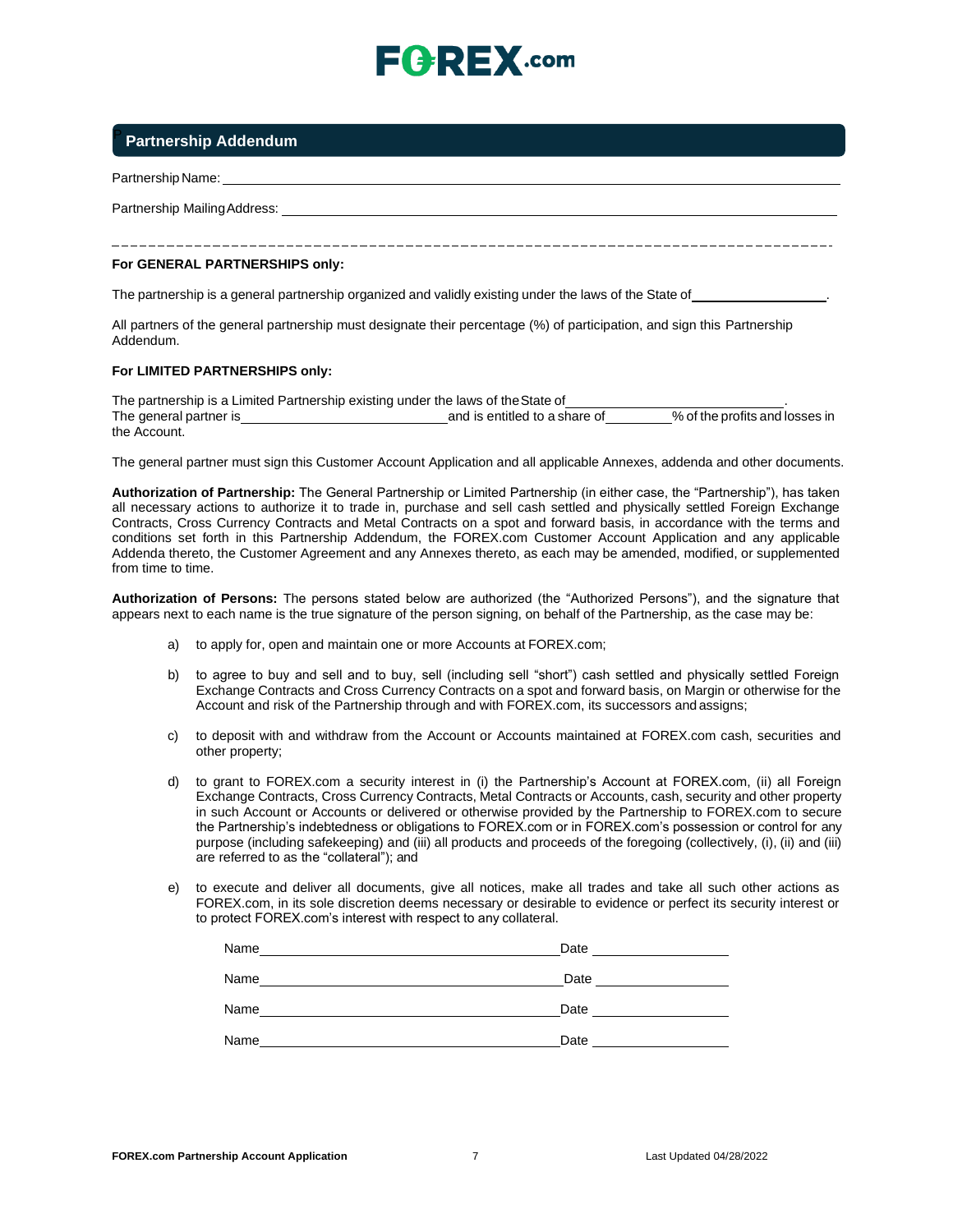

## <sup>P</sup>**Partnership Addendum**

Partnership Name:

Partnership MailingAddress:

#### **For GENERAL PARTNERSHIPS only:**

The partnership is a general partnership organized and validly existing under the laws of the State of .

All partners of the general partnership must designate their percentage (%) of participation, and sign this Partnership Addendum.

#### **For LIMITED PARTNERSHIPS only:**

The partnership is a Limited Partnership existing under the laws of the State of The general partner is **and is entitled to a share of the profits and losses** in the Account.

The general partner must sign this Customer Account Application and all applicable Annexes, addenda and other documents.

**Authorization of Partnership:** The General Partnership or Limited Partnership (in either case, the "Partnership"), has taken all necessary actions to authorize it to trade in, purchase and sell cash settled and physically settled Foreign Exchange Contracts, Cross Currency Contracts and Metal Contracts on a spot and forward basis, in accordance with the terms and conditions set forth in this Partnership Addendum, the FOREX.com Customer Account Application and any applicable Addenda thereto, the Customer Agreement and any Annexes thereto, as each may be amended, modified, or supplemented from time to time.

**Authorization of Persons:** The persons stated below are authorized (the "Authorized Persons"), and the signature that appears next to each name is the true signature of the person signing, on behalf of the Partnership, as the case may be:

- a) to apply for, open and maintain one or more Accounts at FOREX.com;
- b) to agree to buy and sell and to buy, sell (including sell "short") cash settled and physically settled Foreign Exchange Contracts and Cross Currency Contracts on a spot and forward basis, on Margin or otherwise for the Account and risk of the Partnership through and with FOREX.com, its successors and assigns;
- c) to deposit with and withdraw from the Account or Accounts maintained at FOREX.com cash, securities and other property;
- d) to grant to FOREX.com a security interest in (i) the Partnership's Account at FOREX.com, (ii) all Foreign Exchange Contracts, Cross Currency Contracts, Metal Contracts or Accounts, cash, security and other property in such Account or Accounts or delivered or otherwise provided by the Partnership to FOREX.com to secure the Partnership's indebtedness or obligations to FOREX.com or in FOREX.com's possession or control for any purpose (including safekeeping) and (iii) all products and proceeds of the foregoing (collectively, (i), (ii) and (iii) are referred to as the "collateral"); and
- e) to execute and deliver all documents, give all notices, make all trades and take all such other actions as FOREX.com, in its sole discretion deems necessary or desirable to evidence or perfect its security interest or to protect FOREX.com's interest with respect to any collateral.

| Name | Date |
|------|------|
| Name | Date |
| Name | Date |
| Name | Date |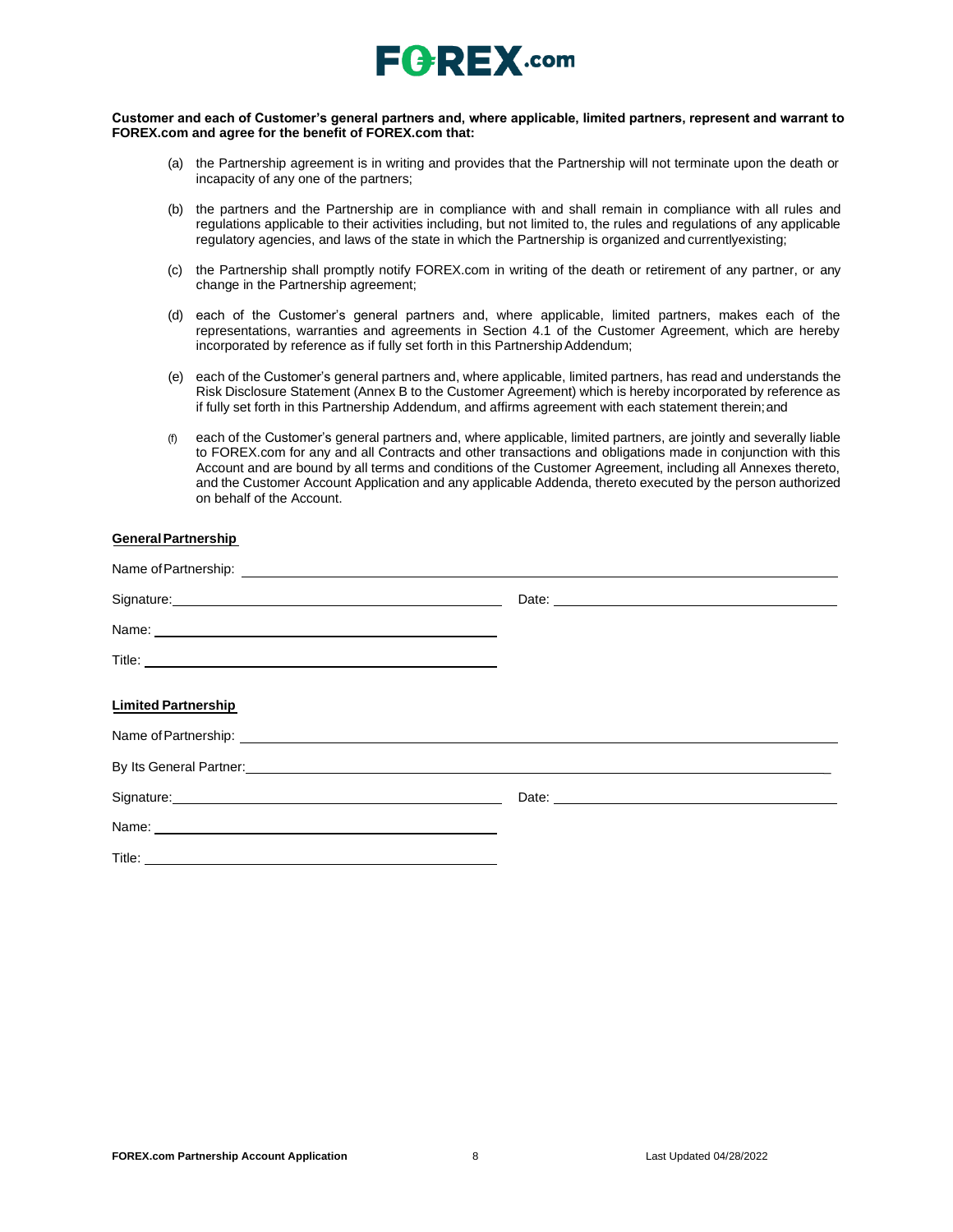

#### **Customer and each of Customer's general partners and, where applicable, limited partners, represent and warrant to FOREX.com and agree for the benefit of FOREX.com that:**

- (a) the Partnership agreement is in writing and provides that the Partnership will not terminate upon the death or incapacity of any one of the partners;
- (b) the partners and the Partnership are in compliance with and shall remain in compliance with all rules and regulations applicable to their activities including, but not limited to, the rules and regulations of any applicable regulatory agencies, and laws of the state in which the Partnership is organized and currentlyexisting;
- (c) the Partnership shall promptly notify FOREX.com in writing of the death or retirement of any partner, or any change in the Partnership agreement;
- (d) each of the Customer's general partners and, where applicable, limited partners, makes each of the representations, warranties and agreements in Section 4.1 of the Customer Agreement, which are hereby incorporated by reference as if fully set forth in this Partnership Addendum;
- (e) each of the Customer's general partners and, where applicable, limited partners, has read and understands the Risk Disclosure Statement (Annex B to the Customer Agreement) which is hereby incorporated by reference as if fully set forth in this Partnership Addendum, and affirms agreement with each statement therein;and
- (f) each of the Customer's general partners and, where applicable, limited partners, are jointly and severally liable to FOREX.com for any and all Contracts and other transactions and obligations made in conjunction with this Account and are bound by all terms and conditions of the Customer Agreement, including all Annexes thereto, and the Customer Account Application and any applicable Addenda, thereto executed by the person authorized on behalf of the Account.

### **GeneralPartnership**

| Signature: <u>Contract Communication</u>                                                                                                                                                                                            |  |
|-------------------------------------------------------------------------------------------------------------------------------------------------------------------------------------------------------------------------------------|--|
|                                                                                                                                                                                                                                     |  |
|                                                                                                                                                                                                                                     |  |
| <b>Limited Partnership</b>                                                                                                                                                                                                          |  |
|                                                                                                                                                                                                                                     |  |
| By Its General Partner: <b>Example 2018</b> 2019 12:30 20:30 20:30 20:30 20:30 20:30 20:30 20:30 20:30 20:30 20:30 20:30 20:30 20:30 20:30 20:30 20:30 20:30 20:30 20:30 20:30 20:30 20:30 20:30 20:30 20:30 20:30 20:30 20:30 20:3 |  |
|                                                                                                                                                                                                                                     |  |
|                                                                                                                                                                                                                                     |  |
|                                                                                                                                                                                                                                     |  |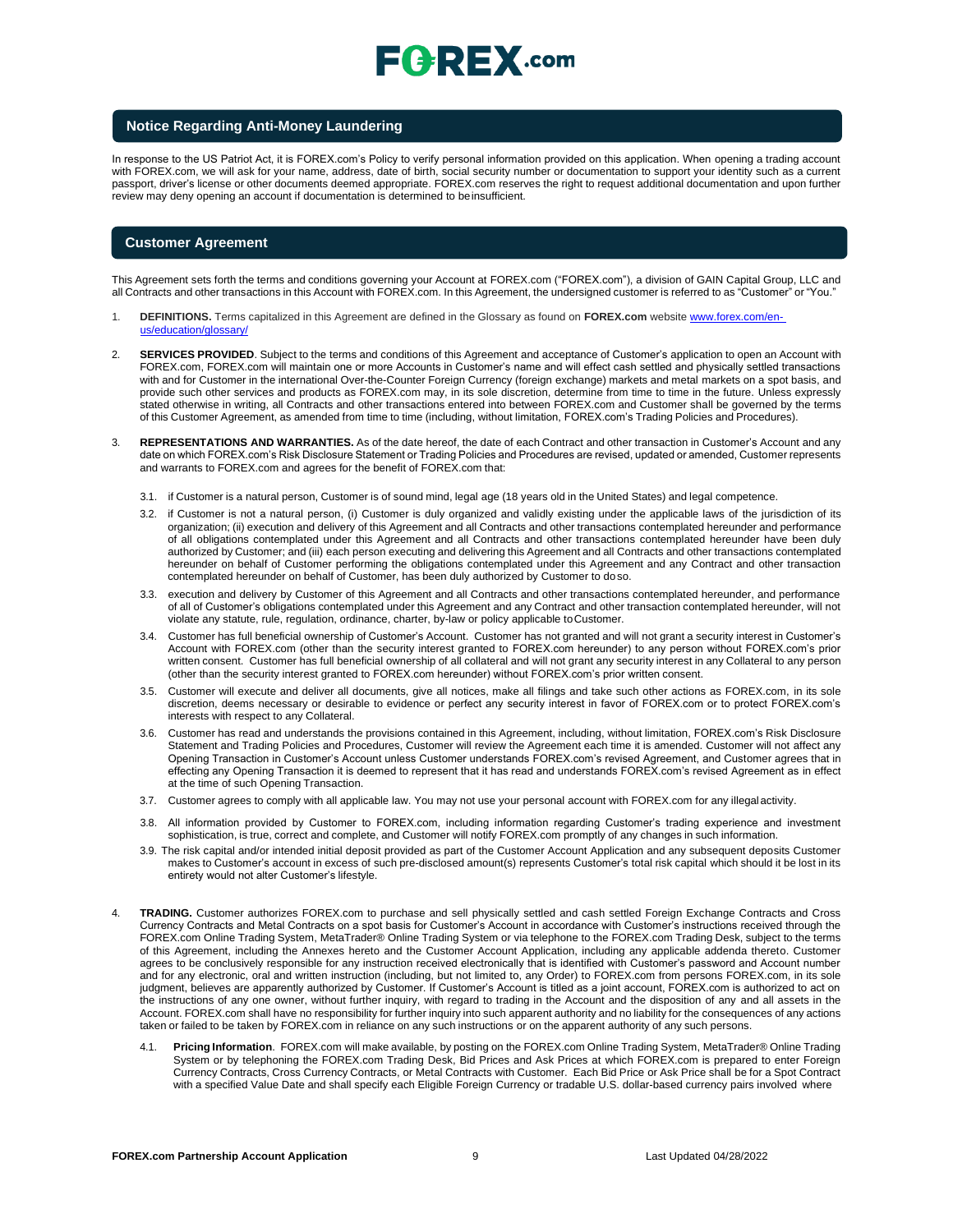## $E$   $R$   $E$   $X$  .com

#### **Notice Regarding Anti-Money Laundering**

In response to the US Patriot Act, it is FOREX.com's Policy to verify personal information provided on this application. When opening a trading account with FOREX.com, we will ask for your name, address, date of birth, social security number or documentation to support your identity such as a current passport, driver's license or other documents deemed appropriate. FOREX.com reserves the right to request additional documentation and upon further review may deny opening an account if documentation is determined to beinsufficient.

#### **Customer Agreement**

This Agreement sets forth the terms and conditions governing your Account at FOREX.com ("FOREX.com"), a division of GAIN Capital Group, LLC and all Contracts and other transactions in this Account with FOREX.com. In this Agreement, the undersigned customer is referred to as "Customer" or "You."

- 1. **DEFINITIONS.** Terms capitalized in this Agreement are defined in the Glossary as found on **FOREX.com** website [www.forex.com/en](http://www.forex.com/en-us/education/glossary/)[us/education/glossary/](http://www.forex.com/en-us/education/glossary/)
- 2. **SERVICES PROVIDED**. Subject to the terms and conditions of this Agreement and acceptance of Customer's application to open an Account with FOREX.com, FOREX.com will maintain one or more Accounts in Customer's name and will effect cash settled and physically settled transactions with and for Customer in the international Over-the-Counter Foreign Currency (foreign exchange) markets and metal markets on a spot basis, and provide such other services and products as FOREX.com may, in its sole discretion, determine from time to time in the future. Unless expressly stated otherwise in writing, all Contracts and other transactions entered into between FOREX.com and Customer shall be governed by the terms of this Customer Agreement, as amended from time to time (including, without limitation, FOREX.com's Trading Policies and Procedures).
- 3. **REPRESENTATIONS AND WARRANTIES.** As of the date hereof, the date of each Contract and other transaction in Customer's Account and any date on which FOREX.com's Risk Disclosure Statement or Trading Policies and Procedures are revised, updated or amended, Customer represents and warrants to FOREX.com and agrees for the benefit of FOREX.com that:
	- 3.1. if Customer is a natural person, Customer is of sound mind, legal age (18 years old in the United States) and legal competence.
	- 3.2. if Customer is not a natural person, (i) Customer is duly organized and validly existing under the applicable laws of the jurisdiction of its organization; (ii) execution and delivery of this Agreement and all Contracts and other transactions contemplated hereunder and performance of all obligations contemplated under this Agreement and all Contracts and other transactions contemplated hereunder have been duly authorized by Customer; and (iii) each person executing and delivering this Agreement and all Contracts and other transactions contemplated hereunder on behalf of Customer performing the obligations contemplated under this Agreement and any Contract and other transaction contemplated hereunder on behalf of Customer, has been duly authorized by Customer to doso.
	- 3.3. execution and delivery by Customer of this Agreement and all Contracts and other transactions contemplated hereunder, and performance of all of Customer's obligations contemplated under this Agreement and any Contract and other transaction contemplated hereunder, will not violate any statute, rule, regulation, ordinance, charter, by-law or policy applicable toCustomer.
	- 3.4. Customer has full beneficial ownership of Customer's Account. Customer has not granted and will not grant a security interest in Customer's Account with FOREX.com (other than the security interest granted to FOREX.com hereunder) to any person without FOREX.com's prior written consent. Customer has full beneficial ownership of all collateral and will not grant any security interest in any Collateral to any person (other than the security interest granted to FOREX.com hereunder) without FOREX.com's prior written consent.
	- 3.5. Customer will execute and deliver all documents, give all notices, make all filings and take such other actions as FOREX.com, in its sole discretion, deems necessary or desirable to evidence or perfect any security interest in favor of FOREX.com or to protect FOREX.com's interests with respect to any Collateral.
	- 3.6. Customer has read and understands the provisions contained in this Agreement, including, without limitation, FOREX.com's Risk Disclosure Statement and Trading Policies and Procedures, Customer will review the Agreement each time it is amended. Customer will not affect any Opening Transaction in Customer's Account unless Customer understands FOREX.com's revised Agreement, and Customer agrees that in effecting any Opening Transaction it is deemed to represent that it has read and understands FOREX.com's revised Agreement as in effect at the time of such Opening Transaction.
	- 3.7. Customer agrees to comply with all applicable law. You may not use your personal account with FOREX.com for any illegal activity.
	- 3.8. All information provided by Customer to FOREX.com, including information regarding Customer's trading experience and investment sophistication, is true, correct and complete, and Customer will notify FOREX.com promptly of any changes in such information.
	- 3.9. The risk capital and/or intended initial deposit provided as part of the Customer Account Application and any subsequent deposits Customer makes to Customer's account in excess of such pre-disclosed amount(s) represents Customer's total risk capital which should it be lost in its entirety would not alter Customer's lifestyle.
- 4. **TRADING.** Customer authorizes FOREX.com to purchase and sell physically settled and cash settled Foreign Exchange Contracts and Cross Currency Contracts and Metal Contracts on a spot basis for Customer's Account in accordance with Customer's instructions received through the FOREX.com Online Trading System, MetaTrader® Online Trading System or via telephone to the FOREX.com Trading Desk, subject to the terms of this Agreement, including the Annexes hereto and the Customer Account Application, including any applicable addenda thereto. Customer agrees to be conclusively responsible for any instruction received electronically that is identified with Customer's password and Account number and for any electronic, oral and written instruction (including, but not limited to, any Order) to FOREX.com from persons FOREX.com, in its sole judgment, believes are apparently authorized by Customer. If Customer's Account is titled as a joint account, FOREX.com is authorized to act on the instructions of any one owner, without further inquiry, with regard to trading in the Account and the disposition of any and all assets in the Account. FOREX.com shall have no responsibility for further inquiry into such apparent authority and no liability for the consequences of any actions taken or failed to be taken by FOREX.com in reliance on any such instructions or on the apparent authority of any such persons.
	- 4.1. **Pricing Information**. FOREX.com will make available, by posting on the FOREX.com Online Trading System, MetaTrader® Online Trading System or by telephoning the FOREX.com Trading Desk, Bid Prices and Ask Prices at which FOREX.com is prepared to enter Foreign Currency Contracts, Cross Currency Contracts, or Metal Contracts with Customer. Each Bid Price or Ask Price shall be for a Spot Contract with a specified Value Date and shall specify each Eligible Foreign Currency or tradable U.S. dollar-based currency pairs involved where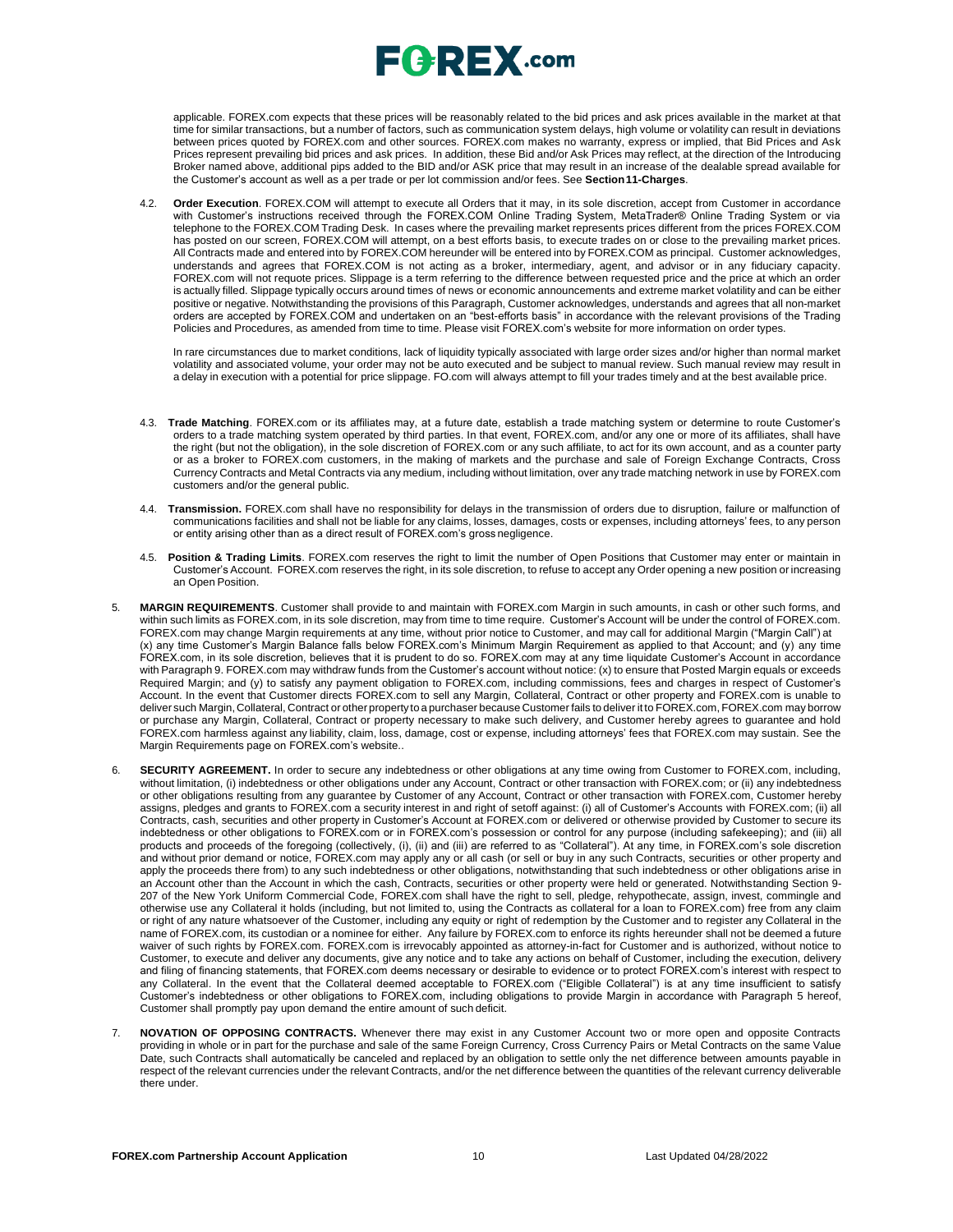applicable. FOREX.com expects that these prices will be reasonably related to the bid prices and ask prices available in the market at that time for similar transactions, but a number of factors, such as communication system delays, high volume or volatility can result in deviations between prices quoted by FOREX.com and other sources. FOREX.com makes no warranty, express or implied, that Bid Prices and Ask Prices represent prevailing bid prices and ask prices. In addition, these Bid and/or Ask Prices may reflect, at the direction of the Introducing Broker named above, additional pips added to the BID and/or ASK price that may result in an increase of the dealable spread available for the Customer's account as well as a per trade or per lot commission and/or fees. See **Section11-Charges**.

4.2. **Order Execution**. FOREX.COM will attempt to execute all Orders that it may, in its sole discretion, accept from Customer in accordance with Customer's instructions received through the FOREX.COM Online Trading System, MetaTrader® Online Trading System or via telephone to the FOREX.COM Trading Desk. In cases where the prevailing market represents prices different from the prices FOREX.COM has posted on our screen, FOREX.COM will attempt, on a best efforts basis, to execute trades on or close to the prevailing market prices. All Contracts made and entered into by FOREX.COM hereunder will be entered into by FOREX.COM as principal. Customer acknowledges, understands and agrees that FOREX.COM is not acting as a broker, intermediary, agent, and advisor or in any fiduciary capacity. FOREX.com will not requote prices. Slippage is a term referring to the difference between requested price and the price at which an order is actually filled. Slippage typically occurs around times of news or economic announcements and extreme market volatility and can be either positive or negative. Notwithstanding the provisions of this Paragraph, Customer acknowledges, understands and agrees that all non-market orders are accepted by FOREX.COM and undertaken on an "best-efforts basis" in accordance with the relevant provisions of the Trading Policies and Procedures, as amended from time to time. Please visit FOREX.com's website for more information on order types.

In rare circumstances due to market conditions, lack of liquidity typically associated with large order sizes and/or higher than normal market volatility and associated volume, your order may not be auto executed and be subject to manual review. Such manual review may result in a delay in execution with a potential for price slippage. [FO.com w](http://forex.com/)ill always attempt to fill your trades timely and at the best available price.

- 4.3. **Trade Matching**. FOREX.com or its affiliates may, at a future date, establish a trade matching system or determine to route Customer's orders to a trade matching system operated by third parties. In that event, FOREX.com, and/or any one or more of its affiliates, shall have the right (but not the obligation), in the sole discretion of FOREX.com or any such affiliate, to act for its own account, and as a counter party or as a broker to FOREX.com customers, in the making of markets and the purchase and sale of Foreign Exchange Contracts, Cross Currency Contracts and Metal Contracts via any medium, including without limitation, over any trade matching network in use by FOREX.com customers and/or the general public.
- 4.4. **Transmission.** FOREX.com shall have no responsibility for delays in the transmission of orders due to disruption, failure or malfunction of communications facilities and shall not be liable for any claims, losses, damages, costs or expenses, including attorneys' fees, to any person or entity arising other than as a direct result of FOREX.com's gross negligence.
- 4.5. **Position & Trading Limits**. FOREX.com reserves the right to limit the number of Open Positions that Customer may enter or maintain in Customer's Account. FOREX.com reserves the right, in its sole discretion, to refuse to accept any Order opening a new position or increasing an Open Position.
- 5. **MARGIN REQUIREMENTS**. Customer shall provide to and maintain with FOREX.com Margin in such amounts, in cash or other such forms, and within such limits as FOREX.com, in its sole discretion, may from time to time require. Customer's Account will be under the control of FOREX.com. FOREX.com may change Margin requirements at any time, without prior notice to Customer, and may call for additional Margin ("Margin Call") at (x) any time Customer's Margin Balance falls below FOREX.com's Minimum Margin Requirement as applied to that Account; and (y) any time FOREX.com, in its sole discretion, believes that it is prudent to do so. FOREX.com may at any time liquidate Customer's Account in accordance with Paragraph 9. FOREX.com may withdraw funds from the Customer's account without notice: (x) to ensure that Posted Margin equals or exceeds Required Margin; and (y) to satisfy any payment obligation to FOREX.com, including commissions, fees and charges in respect of Customer's Account. In the event that Customer directs FOREX.com to sell any Margin, Collateral, Contract or other property and FOREX.com is unable to deliver such Margin, Collateral, Contract or other propertyto a purchaser because Customer fails to deliver it to FOREX.com, FOREX.com may borrow or purchase any Margin, Collateral, Contract or property necessary to make such delivery, and Customer hereby agrees to guarantee and hold FOREX.com harmless against any liability, claim, loss, damage, cost or expense, including attorneys' fees that FOREX.com may sustain. See the Margin Requirements page on FOREX.com's website..
- 6. **SECURITY AGREEMENT.** In order to secure any indebtedness or other obligations at any time owing from Customer to FOREX.com, including, without limitation, (i) indebtedness or other obligations under any Account, Contract or other transaction with FOREX.com; or (ii) any indebtedness or other obligations resulting from any guarantee by Customer of any Account, Contract or other transaction with FOREX.com, Customer hereby assigns, pledges and grants to FOREX.com a security interest in and right of setoff against: (i) all of Customer's Accounts with FOREX.com; (ii) all Contracts, cash, securities and other property in Customer's Account at FOREX.com or delivered or otherwise provided by Customer to secure its indebtedness or other obligations to FOREX.com or in FOREX.com's possession or control for any purpose (including safekeeping); and (iii) all products and proceeds of the foregoing (collectively, (i), (ii) and (iii) are referred to as "Collateral"). At any time, in FOREX.com's sole discretion and without prior demand or notice, FOREX.com may apply any or all cash (or sell or buy in any such Contracts, securities or other property and apply the proceeds there from) to any such indebtedness or other obligations, notwithstanding that such indebtedness or other obligations arise in an Account other than the Account in which the cash, Contracts, securities or other property were held or generated. Notwithstanding Section 9- 207 of the New York Uniform Commercial Code, FOREX.com shall have the right to sell, pledge, rehypothecate, assign, invest, commingle and otherwise use any Collateral it holds (including, but not limited to, using the Contracts as collateral for a loan to FOREX.com) free from any claim or right of any nature whatsoever of the Customer, including any equity or right of redemption by the Customer and to register any Collateral in the name of FOREX.com, its custodian or a nominee for either. Any failure by FOREX.com to enforce its rights hereunder shall not be deemed a future waiver of such rights by FOREX.com. FOREX.com is irrevocably appointed as attorney-in-fact for Customer and is authorized, without notice to Customer, to execute and deliver any documents, give any notice and to take any actions on behalf of Customer, including the execution, delivery and filing of financing statements, that FOREX.com deems necessary or desirable to evidence or to protect FOREX.com's interest with respect to any Collateral. In the event that the Collateral deemed acceptable to FOREX.com ("Eligible Collateral") is at any time insufficient to satisfy Customer's indebtedness or other obligations to FOREX.com, including obligations to provide Margin in accordance with Paragraph 5 hereof, Customer shall promptly pay upon demand the entire amount of such deficit.
- 7. **NOVATION OF OPPOSING CONTRACTS.** Whenever there may exist in any Customer Account two or more open and opposite Contracts providing in whole or in part for the purchase and sale of the same Foreign Currency, Cross Currency Pairs or Metal Contracts on the same Value Date, such Contracts shall automatically be canceled and replaced by an obligation to settle only the net difference between amounts payable in respect of the relevant currencies under the relevant Contracts, and/or the net difference between the quantities of the relevant currency deliverable there under.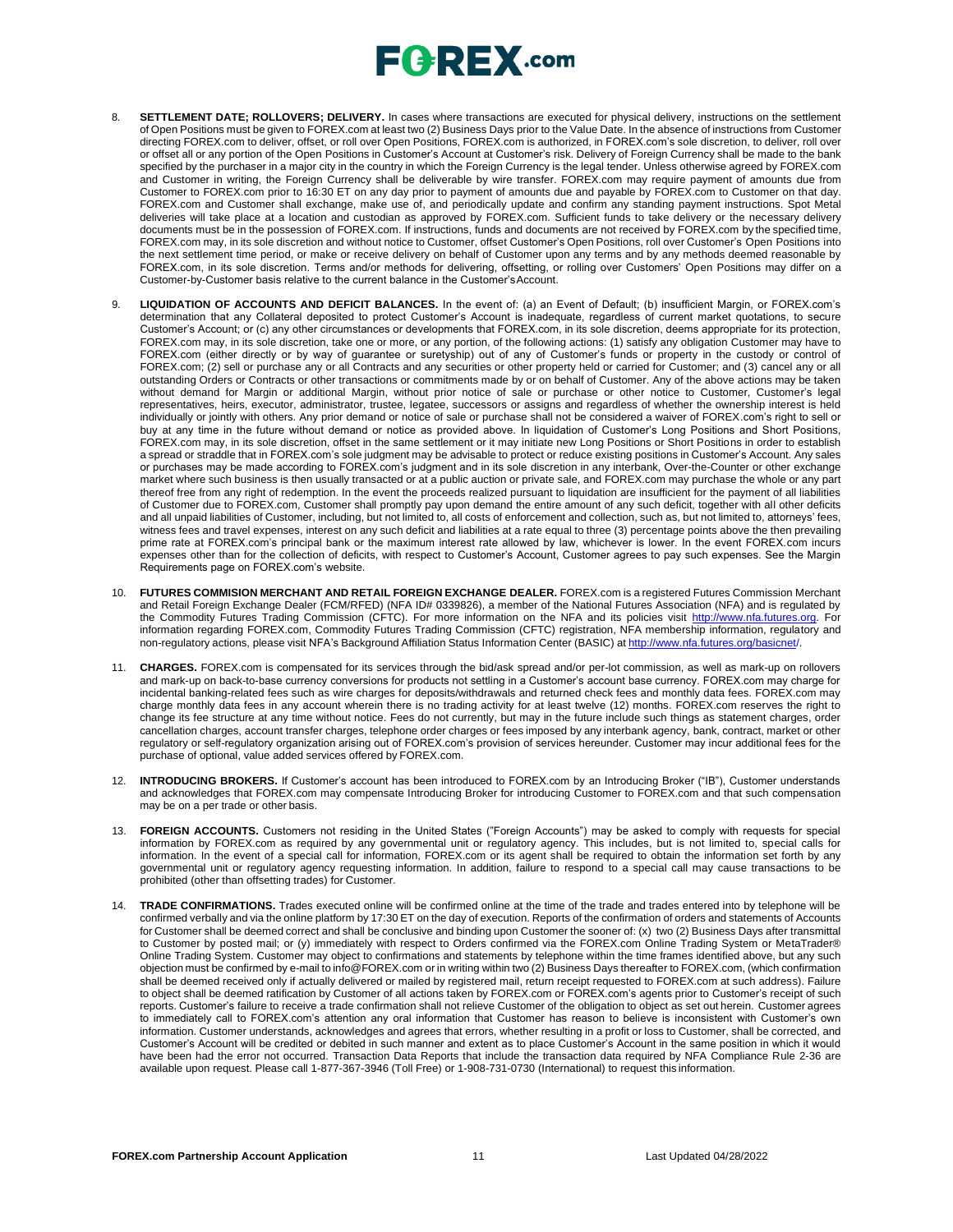- 8. **SETTLEMENT DATE; ROLLOVERS; DELIVERY.** In cases where transactions are executed for physical delivery, instructions on the settlement of Open Positions must be given to FOREX.com at least two (2) Business Days prior to the Value Date. In the absence of instructions from Customer directing FOREX.com to deliver, offset, or roll over Open Positions, FOREX.com is authorized, in FOREX.com's sole discretion, to deliver, roll over or offset all or any portion of the Open Positions in Customer's Account at Customer's risk. Delivery of Foreign Currency shall be made to the bank specified by the purchaser in a major city in the country in which the Foreign Currency is the legal tender. Unless otherwise agreed by FOREX.com and Customer in writing, the Foreign Currency shall be deliverable by wire transfer. FOREX.com may require payment of amounts due from Customer to FOREX.com prior to 16:30 ET on any day prior to payment of amounts due and payable by FOREX.com to Customer on that day. FOREX.com and Customer shall exchange, make use of, and periodically update and confirm any standing payment instructions. Spot Metal deliveries will take place at a location and custodian as approved by FOREX.com. Sufficient funds to take delivery or the necessary delivery documents must be in the possession of FOREX.com. If instructions, funds and documents are not received by FOREX.com by the specified time, FOREX.com may, in its sole discretion and without notice to Customer, offset Customer's Open Positions, roll over Customer's Open Positions into the next settlement time period, or make or receive delivery on behalf of Customer upon any terms and by any methods deemed reasonable by FOREX.com, in its sole discretion. Terms and/or methods for delivering, offsetting, or rolling over Customers' Open Positions may differ on a Customer-by-Customer basis relative to the current balance in the Customer'sAccount.
- 9. **LIQUIDATION OF ACCOUNTS AND DEFICIT BALANCES.** In the event of: (a) an Event of Default; (b) insufficient Margin, or FOREX.com's determination that any Collateral deposited to protect Customer's Account is inadequate, regardless of current market quotations, to secure Customer's Account; or (c) any other circumstances or developments that FOREX.com, in its sole discretion, deems appropriate for its protection, FOREX.com may, in its sole discretion, take one or more, or any portion, of the following actions: (1) satisfy any obligation Customer may have to FOREX.com (either directly or by way of guarantee or suretyship) out of any of Customer's funds or property in the custody or control of FOREX.com; (2) sell or purchase any or all Contracts and any securities or other property held or carried for Customer; and (3) cancel any or all outstanding Orders or Contracts or other transactions or commitments made by or on behalf of Customer. Any of the above actions may be taken without demand for Margin or additional Margin, without prior notice of sale or purchase or other notice to Customer, Customer's legal representatives, heirs, executor, administrator, trustee, legatee, successors or assigns and regardless of whether the ownership interest is held individually or jointly with others. Any prior demand or notice of sale or purchase shall not be considered a waiver of FOREX.com's right to sell or buy at any time in the future without demand or notice as provided above. In liquidation of Customer's Long Positions and Short Positions, FOREX.com may, in its sole discretion, offset in the same settlement or it may initiate new Long Positions or Short Positions in order to establish a spread or straddle that in FOREX.com's sole judgment may be advisable to protect or reduce existing positions in Customer's Account. Any sales or purchases may be made according to FOREX.com's judgment and in its sole discretion in any interbank, Over-the-Counter or other exchange market where such business is then usually transacted or at a public auction or private sale, and FOREX.com may purchase the whole or any part thereof free from any right of redemption. In the event the proceeds realized pursuant to liquidation are insufficient for the payment of all liabilities of Customer due to FOREX.com, Customer shall promptly pay upon demand the entire amount of any such deficit, together with all other deficits and all unpaid liabilities of Customer, including, but not limited to, all costs of enforcement and collection, such as, but not limited to, attorneys' fees, witness fees and travel expenses, interest on any such deficit and liabilities at a rate equal to three (3) percentage points above the then prevailing prime rate at FOREX.com's principal bank or the maximum interest rate allowed by law, whichever is lower. In the event FOREX.com incurs expenses other than for the collection of deficits, with respect to Customer's Account, Customer agrees to pay such expenses. See the Margin Requirements page on FOREX.com's website.
- 10. **FUTURES COMMISION MERCHANT AND RETAIL FOREIGN EXCHANGE DEALER.** FOREX.com is a registered Futures Commission Merchant and Retail Foreign Exchange Dealer (FCM/RFED) (NFA ID# 0339826), a member of the National Futures Association (NFA) and is regulated by the Commodity Futures Trading Commission (CFTC). For more information on the NFA and its policies visit [http://www.nfa.futures.org.](http://www.nfa.futures.org/) For information regarding FOREX.com, Commodity Futures Trading Commission (CFTC) registration, NFA membership information, regulatory and non-regulatory actions, please visit NFA's Background Affiliation Status Information Center (BASIC) at [http://www.nfa.futures.org/basicnet/.](http://www.nfa.futures.org/basicnet/)
- 11. **CHARGES.** FOREX.com is compensated for its services through the bid/ask spread and/or per-lot commission, as well as mark-up on rollovers and mark-up on back-to-base currency conversions for products not settling in a Customer's account base currency. FOREX.com may charge for incidental banking-related fees such as wire charges for deposits/withdrawals and returned check fees and monthly data fees. FOREX.com may charge monthly data fees in any account wherein there is no trading activity for at least twelve (12) months. FOREX.com reserves the right to change its fee structure at any time without notice. Fees do not currently, but may in the future include such things as statement charges, order cancellation charges, account transfer charges, telephone order charges or fees imposed by any interbank agency, bank, contract, market or other regulatory or self-regulatory organization arising out of FOREX.com's provision of services hereunder. Customer may incur additional fees for the purchase of optional, value added services offered by FOREX.com.
- 12. **INTRODUCING BROKERS.** If Customer's account has been introduced to FOREX.com by an Introducing Broker ("IB"), Customer understands and acknowledges that FOREX.com may compensate Introducing Broker for introducing Customer to FOREX.com and that such compensation may be on a per trade or other basis.
- 13. **FOREIGN ACCOUNTS.** Customers not residing in the United States ("Foreign Accounts") may be asked to comply with requests for special information by FOREX.com as required by any governmental unit or regulatory agency. This includes, but is not limited to, special calls for information. In the event of a special call for information, FOREX.com or its agent shall be required to obtain the information set forth by any governmental unit or regulatory agency requesting information. In addition, failure to respond to a special call may cause transactions to be prohibited (other than offsetting trades) for Customer.
- 14. **TRADE CONFIRMATIONS.** Trades executed online will be confirmed online at the time of the trade and trades entered into by telephone will be confirmed verbally and via the online platform by 17:30 ET on the day of execution. Reports of the confirmation of orders and statements of Accounts for Customer shall be deemed correct and shall be conclusive and binding upon Customer the sooner of: (x) two (2) Business Days after transmittal to Customer by posted mail; or (y) immediately with respect to Orders confirmed via the FOREX.com Online Trading System or MetaTrader® Online Trading System. Customer may object to confirmations and statements by telephone within the time frames identified above, but any such objection must be confirmed by e-mail to [info@FOREX.com](mailto:info@FOREX.com) or in writing within two (2) Business Days thereafter to FOREX.com, (which confirmation shall be deemed received only if actually delivered or mailed by registered mail, return receipt requested to FOREX.com at such address). Failure to object shall be deemed ratification by Customer of all actions taken by FOREX.com or FOREX.com's agents prior to Customer's receipt of such reports. Customer's failure to receive a trade confirmation shall not relieve Customer of the obligation to object as set out herein. Customer agrees to immediately call to FOREX.com's attention any oral information that Customer has reason to believe is inconsistent with Customer's own information. Customer understands, acknowledges and agrees that errors, whether resulting in a profit or loss to Customer, shall be corrected, and Customer's Account will be credited or debited in such manner and extent as to place Customer's Account in the same position in which it would have been had the error not occurred. Transaction Data Reports that include the transaction data required by NFA Compliance Rule 2-36 are available upon request. Please call 1-877-367-3946 (Toll Free) or 1-908-731-0730 (International) to request this information.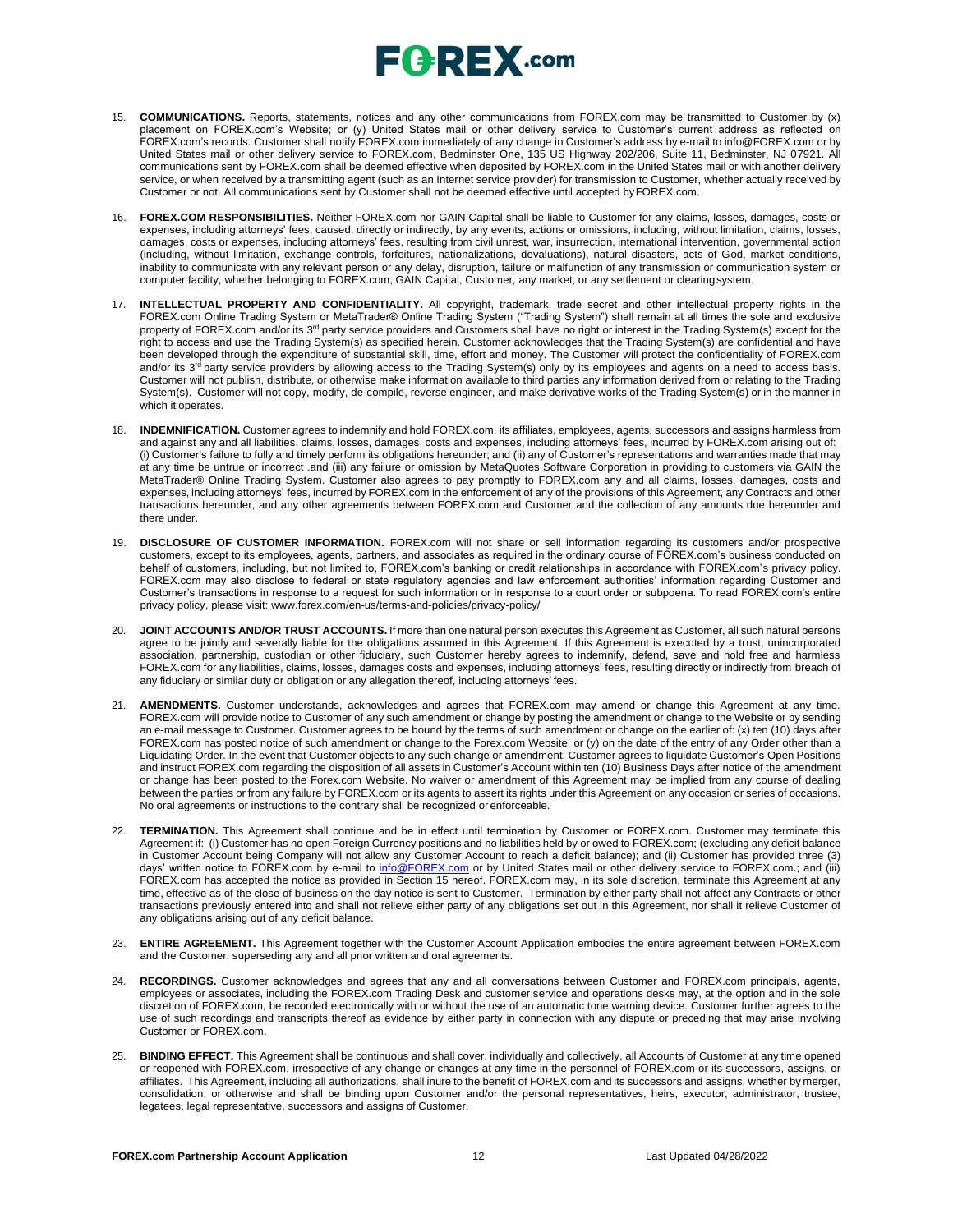- 15. **COMMUNICATIONS.** Reports, statements, notices and any other communications from FOREX.com may be transmitted to Customer by (x) placement on FOREX.com's Website; or (y) United States mail or other delivery service to Customer's current address as reflected on FOREX.com's records. Customer shall notify FOREX.com immediately of any change in Customer's address by e-mail to [info@FOREX.com](mailto:info@FOREX.com) or by United States mail or other delivery service to FOREX.com, Bedminster One, 135 US Highway 202/206, Suite 11, Bedminster, NJ 07921. All communications sent by FOREX.com shall be deemed effective when deposited by FOREX.com in the United States mail or with another delivery service, or when received by a transmitting agent (such as an Internet service provider) for transmission to Customer, whether actually received by Customer or not. All communications sent by Customer shall not be deemed effective until accepted byFOREX.com.
- 16. **FOREX.COM RESPONSIBILITIES.** Neither FOREX.com nor GAIN Capital shall be liable to Customer for any claims, losses, damages, costs or expenses, including attorneys' fees, caused, directly or indirectly, by any events, actions or omissions, including, without limitation, claims, losses, damages, costs or expenses, including attorneys' fees, resulting from civil unrest, war, insurrection, international intervention, governmental action (including, without limitation, exchange controls, forfeitures, nationalizations, devaluations), natural disasters, acts of God, market conditions, inability to communicate with any relevant person or any delay, disruption, failure or malfunction of any transmission or communication system or computer facility, whether belonging to FOREX.com, GAIN Capital, Customer, any market, or any settlement or clearingsystem.
- 17. **INTELLECTUAL PROPERTY AND CONFIDENTIALITY.** All copyright, trademark, trade secret and other intellectual property rights in the FOREX.com Online Trading System or MetaTrader® Online Trading System ("Trading System") shall remain at all times the sole and exclusive property of FOREX.com and/or its 3<sup>rd</sup> party service providers and Customers shall have no right or interest in the Trading System(s) except for the right to access and use the Trading System(s) as specified herein. Customer acknowledges that the Trading System(s) are confidential and have been developed through the expenditure of substantial skill, time, effort and money. The Customer will protect the confidentiality of FOREX.com<br>and/or its 3<sup>rd</sup> party service providers by allowing access to the Trading Sys Customer will not publish, distribute, or otherwise make information available to third parties any information derived from or relating to the Trading System(s). Customer will not copy, modify, de-compile, reverse engineer, and make derivative works of the Trading System(s) or in the manner in which it operates.
- 18. **INDEMNIFICATION.** Customer agrees to indemnify and hold FOREX.com, its affiliates, employees, agents, successors and assigns harmless from and against any and all liabilities, claims, losses, damages, costs and expenses, including attorneys' fees, incurred by FOREX.com arising out of: (i) Customer's failure to fully and timely perform its obligations hereunder; and (ii) any of Customer's representations and warranties made that may at any time be untrue or incorrect .and (iii) any failure or omission by MetaQuotes Software Corporation in providing to customers via GAIN the MetaTrader® Online Trading System. Customer also agrees to pay promptly to FOREX.com any and all claims, losses, damages, costs and expenses, including attorneys' fees, incurred by FOREX.com in the enforcement of any of the provisions of this Agreement, any Contracts and other transactions hereunder, and any other agreements between FOREX.com and Customer and the collection of any amounts due hereunder and there under.
- 19. **DISCLOSURE OF CUSTOMER INFORMATION.** FOREX.com will not share or sell information regarding its customers and/or prospective customers, except to its employees, agents, partners, and associates as required in the ordinary course of FOREX.com's business conducted on behalf of customers, including, but not limited to, FOREX.com's banking or credit relationships in accordance with FOREX.com's privacy policy. FOREX.com may also disclose to federal or state regulatory agencies and law enforcement authorities' information regarding Customer and Customer's transactions in response to a request for such information or in response to a court order or subpoena. To read FOREX.com's entire privacy policy, please visit: [www.forex.com/en-us/terms-and-policies/privacy-policy/](http://www.forex.com/en-us/terms-and-policies/privacy-policy/)
- 20. **JOINT ACCOUNTS AND/OR TRUST ACCOUNTS.** If more than one natural person executes this Agreement as Customer, all such natural persons agree to be jointly and severally liable for the obligations assumed in this Agreement. If this Agreement is executed by a trust, unincorporated association, partnership, custodian or other fiduciary, such Customer hereby agrees to indemnify, defend, save and hold free and harmless FOREX.com for any liabilities, claims, losses, damages costs and expenses, including attorneys' fees, resulting directly or indirectly from breach of any fiduciary or similar duty or obligation or any allegation thereof, including attorneys' fees.
- 21. **AMENDMENTS.** Customer understands, acknowledges and agrees that FOREX.com may amend or change this Agreement at any time. FOREX.com will provide notice to Customer of any such amendment or change by posting the amendment or change to the Website or by sending an e-mail message to Customer. Customer agrees to be bound by the terms of such amendment or change on the earlier of: (x) ten (10) days after FOREX.com has posted notice of such amendment or change to the Forex.com Website; or (y) on the date of the entry of any Order other than a Liquidating Order. In the event that Customer objects to any such change or amendment, Customer agrees to liquidate Customer's Open Positions and instruct FOREX.com regarding the disposition of all assets in Customer's Account within ten (10) Business Days after notice of the amendment or change has been posted to the Forex.com Website. No waiver or amendment of this Agreement may be implied from any course of dealing between the parties or from any failure by FOREX.com or its agents to assert its rights under this Agreement on any occasion or series of occasions. No oral agreements or instructions to the contrary shall be recognized or enforceable.
- 22. **TERMINATION.** This Agreement shall continue and be in effect until termination by Customer or FOREX.com. Customer may terminate this Agreement if: (i) Customer has no open Foreign Currency positions and no liabilities held by or owed to FOREX.com; (excluding any deficit balance in Customer Account being Company will not allow any Customer Account to reach a deficit balance); and (ii) Customer has provided three (3) days' written notice to FOREX.com by e-mail to [info@FOREX.com](mailto:info@fxadvantage.com) or by United States mail or other delivery service to FOREX.com.; and (iii) FOREX.com has accepted the notice as provided in Section 15 hereof. FOREX.com may, in its sole discretion, terminate this Agreement at any time, effective as of the close of business on the day notice is sent to Customer. Termination by either party shall not affect any Contracts or other transactions previously entered into and shall not relieve either party of any obligations set out in this Agreement, nor shall it relieve Customer of any obligations arising out of any deficit balance.
- 23. **ENTIRE AGREEMENT.** This Agreement together with the Customer Account Application embodies the entire agreement between FOREX.com and the Customer, superseding any and all prior written and oral agreements.
- 24. **RECORDINGS.** Customer acknowledges and agrees that any and all conversations between Customer and FOREX.com principals, agents, employees or associates, including the FOREX.com Trading Desk and customer service and operations desks may, at the option and in the sole discretion of FOREX.com, be recorded electronically with or without the use of an automatic tone warning device. Customer further agrees to the use of such recordings and transcripts thereof as evidence by either party in connection with any dispute or preceding that may arise involving Customer or FOREX.com.
- 25. **BINDING EFFECT.** This Agreement shall be continuous and shall cover, individually and collectively, all Accounts of Customer at any time opened or reopened with FOREX.com, irrespective of any change or changes at any time in the personnel of FOREX.com or its successors, assigns, or affiliates. This Agreement, including all authorizations, shall inure to the benefit of FOREX.com and its successors and assigns, whether by merger, consolidation, or otherwise and shall be binding upon Customer and/or the personal representatives, heirs, executor, administrator, trustee, legatees, legal representative, successors and assigns of Customer.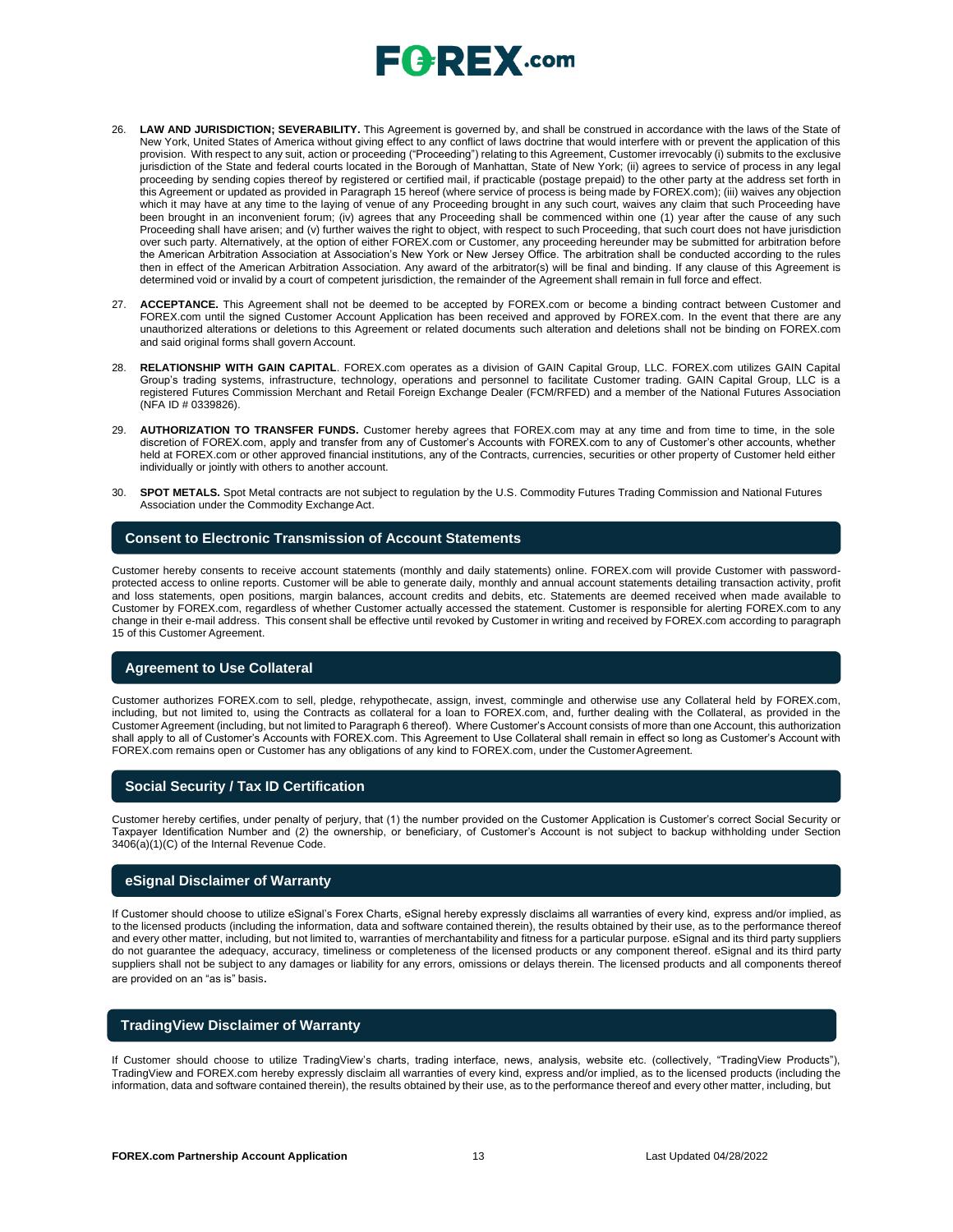- 26. **LAW AND JURISDICTION; SEVERABILITY.** This Agreement is governed by, and shall be construed in accordance with the laws of the State of New York, United States of America without giving effect to any conflict of laws doctrine that would interfere with or prevent the application of this provision. With respect to any suit, action or proceeding ("Proceeding") relating to this Agreement, Customer irrevocably (i) submits to the exclusive jurisdiction of the State and federal courts located in the Borough of Manhattan, State of New York; (ii) agrees to service of process in any legal proceeding by sending copies thereof by registered or certified mail, if practicable (postage prepaid) to the other party at the address set forth in this Agreement or updated as provided in Paragraph 15 hereof (where service of process is being made by FOREX.com); (iii) waives any objection which it may have at any time to the laying of venue of any Proceeding brought in any such court, waives any claim that such Proceeding have been brought in an inconvenient forum; (iv) agrees that any Proceeding shall be commenced within one (1) year after the cause of any such Proceeding shall have arisen; and (v) further waives the right to object, with respect to such Proceeding, that such court does not have jurisdiction over such party. Alternatively, at the option of either FOREX.com or Customer, any proceeding hereunder may be submitted for arbitration before the American Arbitration Association at Association's New York or New Jersey Office. The arbitration shall be conducted according to the rules then in effect of the American Arbitration Association. Any award of the arbitrator(s) will be final and binding. If any clause of this Agreement is determined void or invalid by a court of competent jurisdiction, the remainder of the Agreement shall remain in full force and effect.
- 27. **ACCEPTANCE.** This Agreement shall not be deemed to be accepted by FOREX.com or become a binding contract between Customer and FOREX.com until the signed Customer Account Application has been received and approved by FOREX.com. In the event that there are any unauthorized alterations or deletions to this Agreement or related documents such alteration and deletions shall not be binding on FOREX.com and said original forms shall govern Account.
- 28. **RELATIONSHIP WITH GAIN CAPITAL**. FOREX.com operates as a division of GAIN Capital Group, LLC. FOREX.com utilizes GAIN Capital Group's trading systems, infrastructure, technology, operations and personnel to facilitate Customer trading. GAIN Capital Group, LLC is a registered Futures Commission Merchant and Retail Foreign Exchange Dealer (FCM/RFED) and a member of the National Futures Association (NFA ID # 0339826).
- 29. **AUTHORIZATION TO TRANSFER FUNDS.** Customer hereby agrees that FOREX.com may at any time and from time to time, in the sole discretion of FOREX.com, apply and transfer from any of Customer's Accounts with FOREX.com to any of Customer's other accounts, whether held at FOREX.com or other approved financial institutions, any of the Contracts, currencies, securities or other property of Customer held either individually or jointly with others to another account.
- 30. **SPOT METALS.** Spot Metal contracts are not subject to regulation by the U.S. Commodity Futures Trading Commission and National Futures Association under the Commodity Exchange Act.

#### **Consent to Electronic Transmission of Account Statements**

Customer hereby consents to receive account statements (monthly and daily statements) online. FOREX.com will provide Customer with passwordprotected access to online reports. Customer will be able to generate daily, monthly and annual account statements detailing transaction activity, profit and loss statements, open positions, margin balances, account credits and debits, etc. Statements are deemed received when made available to Customer by FOREX.com, regardless of whether Customer actually accessed the statement. Customer is responsible for alerting FOREX.com to any change in their e-mail address. This consent shall be effective until revoked by Customer in writing and received by FOREX.com according to paragraph 15 of this Customer Agreement.

### **Agreement to Use Collateral**

Customer authorizes FOREX.com to sell, pledge, rehypothecate, assign, invest, commingle and otherwise use any Collateral held by FOREX.com, including, but not limited to, using the Contracts as collateral for a loan to FOREX.com, and, further dealing with the Collateral, as provided in the Customer Agreement (including, but not limited to Paragraph 6 thereof). Where Customer's Account consists of more than one Account, this authorization shall apply to all of Customer's Accounts with FOREX.com. This Agreement to Use Collateral shall remain in effect so long as Customer's Account with FOREX.com remains open or Customer has any obligations of any kind to FOREX.com, under the CustomerAgreement.

### **Social Security / Tax ID Certification**

Customer hereby certifies, under penalty of perjury, that (1) the number provided on the Customer Application is Customer's correct Social Security or Taxpayer Identification Number and (2) the ownership, or beneficiary, of Customer's Account is not subject to backup withholding under Section 3406(a)(1)(C) of the Internal Revenue Code.

#### **eSignal Disclaimer of Warranty**

If Customer should choose to utilize eSignal's Forex Charts, eSignal hereby expressly disclaims all warranties of every kind, express and/or implied, as to the licensed products (including the information, data and software contained therein), the results obtained by their use, as to the performance thereof and every other matter, including, but not limited to, warranties of merchantability and fitness for a particular purpose. eSignal and its third party suppliers do not guarantee the adequacy, accuracy, timeliness or completeness of the licensed products or any component thereof. eSignal and its third party suppliers shall not be subject to any damages or liability for any errors, omissions or delays therein. The licensed products and all components thereof are provided on an "as is" basis.

### **TradingView Disclaimer of Warranty**

If Customer should choose to utilize TradingView's charts, trading interface, news, analysis, website etc. (collectively, "TradingView Products"), TradingView and FOREX.com hereby expressly disclaim all warranties of every kind, express and/or implied, as to the licensed products (including the information, data and software contained therein), the results obtained by their use, as to the performance thereof and every other matter, including, but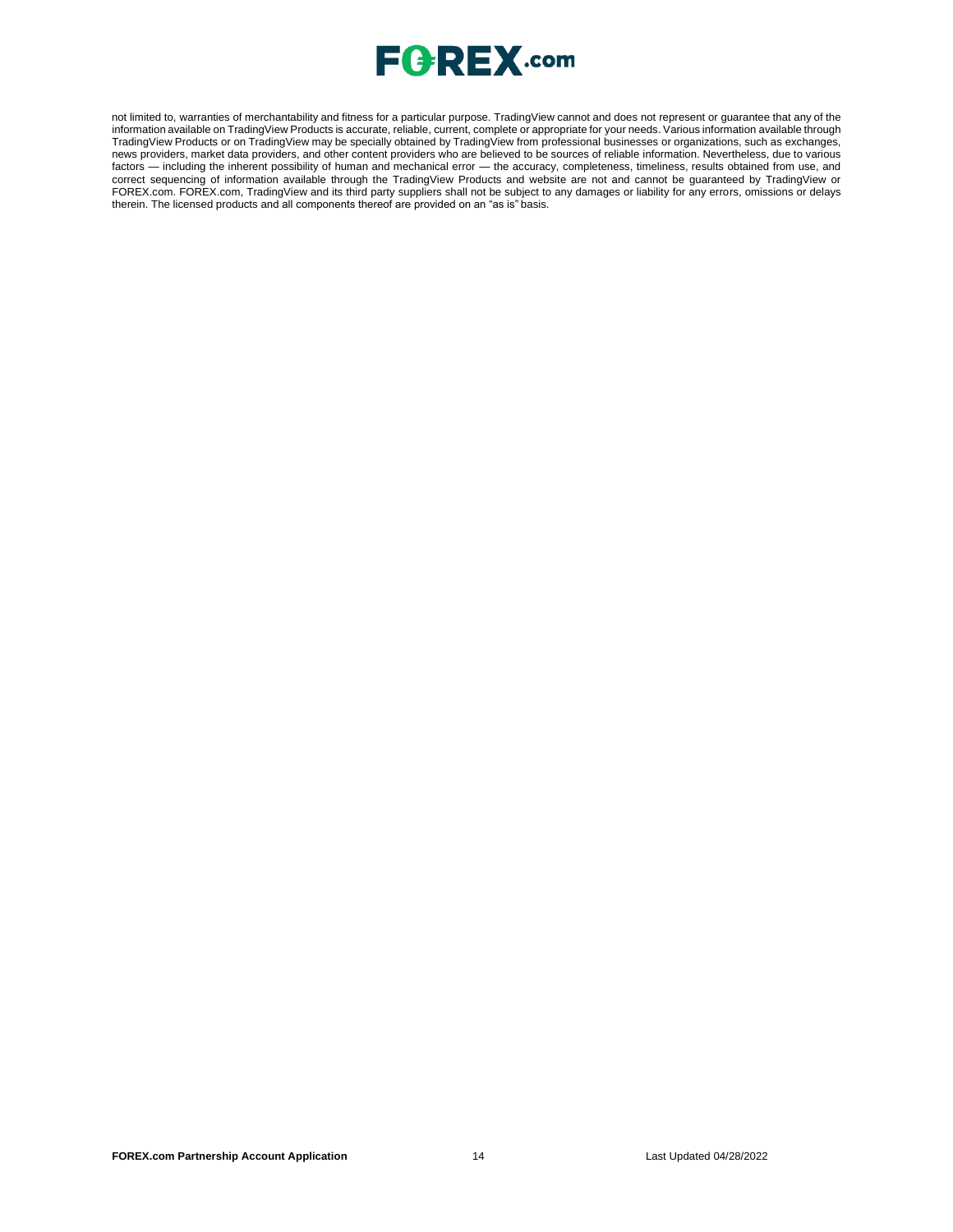

not limited to, warranties of merchantability and fitness for a particular purpose. TradingView cannot and does not represent or guarantee that any of the information available on TradingView Products is accurate, reliable, current, complete or appropriate for your needs. Various information available through TradingView Products or on TradingView may be specially obtained by TradingView from professional businesses or organizations, such as exchanges, news providers, market data providers, and other content providers who are believed to be sources of reliable information. Nevertheless, due to various factors — including the inherent possibility of human and mechanical error — the accuracy, completeness, timeliness, results obtained from use, and correct sequencing of information available through the TradingView Products and website are not and cannot be guaranteed by TradingView or FOREX.com. FOREX.com, TradingView and its third party suppliers shall not be subject to any damages or liability for any errors, omissions or delays therein. The licensed products and all components thereof are provided on an "as is" basis.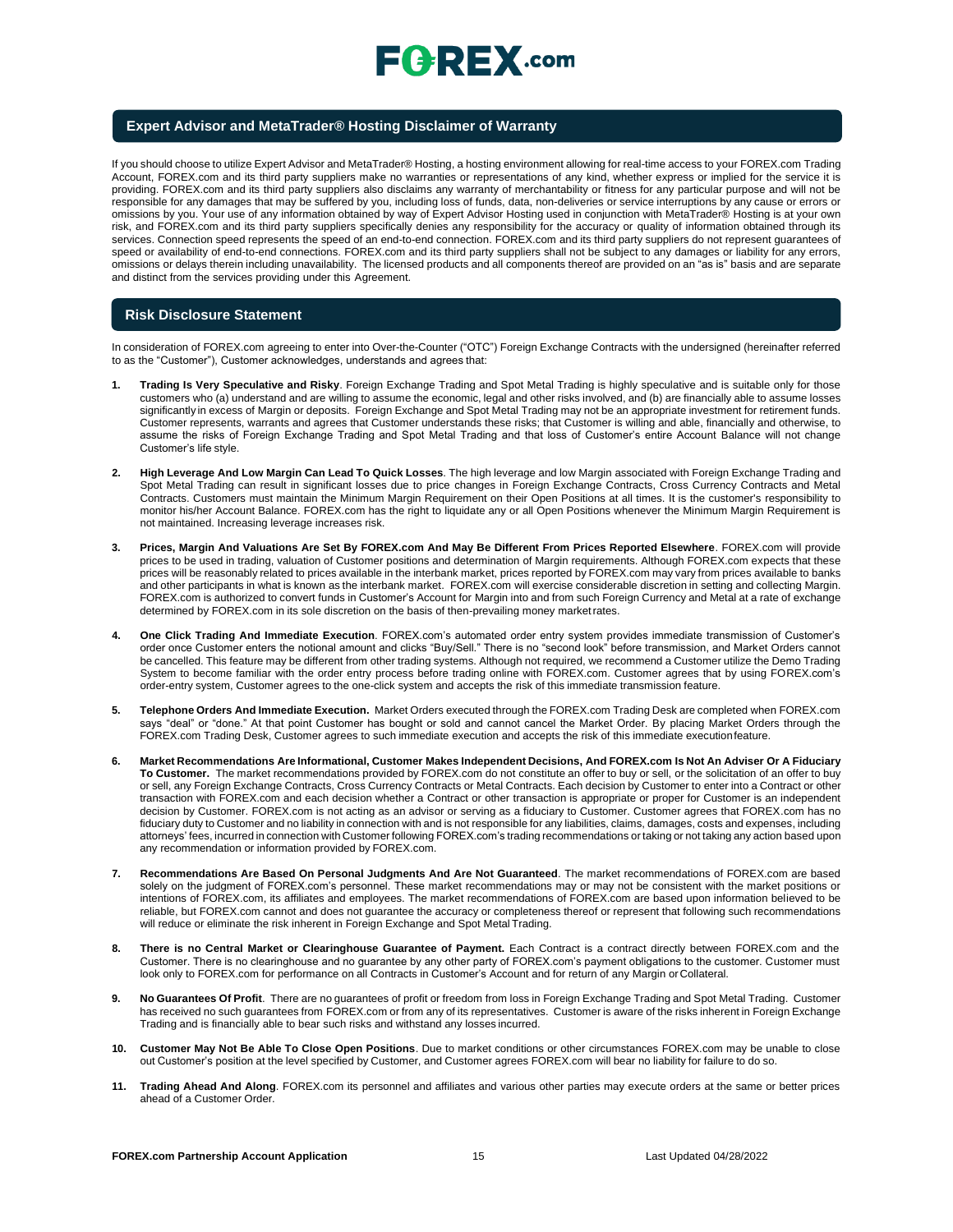

#### **Expert Advisor and MetaTrader® Hosting Disclaimer of Warranty**

If you should choose to utilize Expert Advisor and MetaTrader® Hosting, a hosting environment allowing for real-time access to your FOREX.com Trading Account, FOREX.com and its third party suppliers make no warranties or representations of any kind, whether express or implied for the service it is providing. FOREX.com and its third party suppliers also disclaims any warranty of merchantability or fitness for any particular purpose and will not be responsible for any damages that may be suffered by you, including loss of funds, data, non-deliveries or service interruptions by any cause or errors or omissions by you. Your use of any information obtained by way of Expert Advisor Hosting used in conjunction with MetaTrader® Hosting is at your own risk, and FOREX.com and its third party suppliers specifically denies any responsibility for the accuracy or quality of information obtained through its services. Connection speed represents the speed of an end-to-end connection. FOREX.com and its third party suppliers do not represent guarantees of speed or availability of end-to-end connections. FOREX.com and its third party suppliers shall not be subject to any damages or liability for any errors, omissions or delays therein including unavailability. The licensed products and all components thereof are provided on an "as is" basis and are separate and distinct from the services providing under this Agreement.

#### **Risk Disclosure Statement**

In consideration of FOREX.com agreeing to enter into Over-the-Counter ("OTC") Foreign Exchange Contracts with the undersigned (hereinafter referred to as the "Customer"), Customer acknowledges, understands and agrees that:

- **1. Trading Is Very Speculative and Risky**. Foreign Exchange Trading and Spot Metal Trading is highly speculative and is suitable only for those customers who (a) understand and are willing to assume the economic, legal and other risks involved, and (b) are financially able to assume losses significantly in excess of Margin or deposits. Foreign Exchange and Spot Metal Trading may not be an appropriate investment for retirement funds. Customer represents, warrants and agrees that Customer understands these risks; that Customer is willing and able, financially and otherwise, to assume the risks of Foreign Exchange Trading and Spot Metal Trading and that loss of Customer's entire Account Balance will not change Customer's life style.
- **2. High Leverage And Low Margin Can Lead To Quick Losses**. The high leverage and low Margin associated with Foreign Exchange Trading and Spot Metal Trading can result in significant losses due to price changes in Foreign Exchange Contracts, Cross Currency Contracts and Metal Contracts. Customers must maintain the Minimum Margin Requirement on their Open Positions at all times. It is the customer's responsibility to monitor his/her Account Balance. FOREX.com has the right to liquidate any or all Open Positions whenever the Minimum Margin Requirement is not maintained. Increasing leverage increases risk.
- **3. Prices, Margin And Valuations Are Set By FOREX.com And May Be Different From Prices Reported Elsewhere**. FOREX.com will provide prices to be used in trading, valuation of Customer positions and determination of Margin requirements. Although FOREX.com expects that these prices will be reasonably related to prices available in the interbank market, prices reported by FOREX.com may vary from prices available to banks and other participants in what is known as the interbank market. FOREX.com will exercise considerable discretion in setting and collecting Margin. FOREX.com is authorized to convert funds in Customer's Account for Margin into and from such Foreign Currency and Metal at a rate of exchange determined by FOREX.com in its sole discretion on the basis of then-prevailing money marketrates.
- **4. One Click Trading And Immediate Execution**. FOREX.com's automated order entry system provides immediate transmission of Customer's order once Customer enters the notional amount and clicks "Buy/Sell." There is no "second look" before transmission, and Market Orders cannot be cancelled. This feature may be different from other trading systems. Although not required, we recommend a Customer utilize the Demo Trading System to become familiar with the order entry process before trading online with FOREX.com. Customer agrees that by using FOREX.com's order-entry system, Customer agrees to the one-click system and accepts the risk of this immediate transmission feature.
- **5. Telephone Orders And Immediate Execution.** Market Orders executed through the FOREX.com Trading Desk are completed when FOREX.com says "deal" or "done." At that point Customer has bought or sold and cannot cancel the Market Order. By placing Market Orders through the FOREX.com Trading Desk, Customer agrees to such immediate execution and accepts the risk of this immediate executionfeature.
- 6. Market Recommendations Are Informational, Customer Makes Independent Decisions, And FOREX.com Is Not An Adviser Or A Fiduciary **To Customer.** The market recommendations provided by FOREX.com do not constitute an offer to buy or sell, or the solicitation of an offer to buy or sell, any Foreign Exchange Contracts, Cross Currency Contracts or Metal Contracts. Each decision by Customer to enter into a Contract or other transaction with FOREX.com and each decision whether a Contract or other transaction is appropriate or proper for Customer is an independent decision by Customer. FOREX.com is not acting as an advisor or serving as a fiduciary to Customer. Customer agrees that FOREX.com has no fiduciary duty to Customer and no liability in connection with and is not responsible for any liabilities, claims, damages, costs and expenses, including attorneys' fees, incurred in connection with Customer following FOREX.com's trading recommendations or taking or not taking any action based upon any recommendation or information provided by FOREX.com.
- **7. Recommendations Are Based On Personal Judgments And Are Not Guaranteed**. The market recommendations of FOREX.com are based solely on the judgment of FOREX.com's personnel. These market recommendations may or may not be consistent with the market positions or intentions of FOREX.com, its affiliates and employees. The market recommendations of FOREX.com are based upon information believed to be reliable, but FOREX.com cannot and does not guarantee the accuracy or completeness thereof or represent that following such recommendations will reduce or eliminate the risk inherent in Foreign Exchange and Spot Metal Trading.
- 8. There is no Central Market or Clearinghouse Guarantee of Payment. Each Contract is a contract directly between FOREX.com and the Customer. There is no clearinghouse and no guarantee by any other party of FOREX.com's payment obligations to the customer. Customer must look only to FOREX.com for performance on all Contracts in Customer's Account and for return of any Margin orCollateral.
- **9. No Guarantees Of Profit**. There are no guarantees of profit or freedom from loss in Foreign Exchange Trading and Spot Metal Trading. Customer has received no such guarantees from FOREX.com or from any of its representatives. Customer is aware of the risks inherent in Foreign Exchange Trading and is financially able to bear such risks and withstand any losses incurred.
- **10. Customer May Not Be Able To Close Open Positions**. Due to market conditions or other circumstances FOREX.com may be unable to close out Customer's position at the level specified by Customer, and Customer agrees FOREX.com will bear no liability for failure to do so.
- **11. Trading Ahead And Along**. FOREX.com its personnel and affiliates and various other parties may execute orders at the same or better prices ahead of a Customer Order.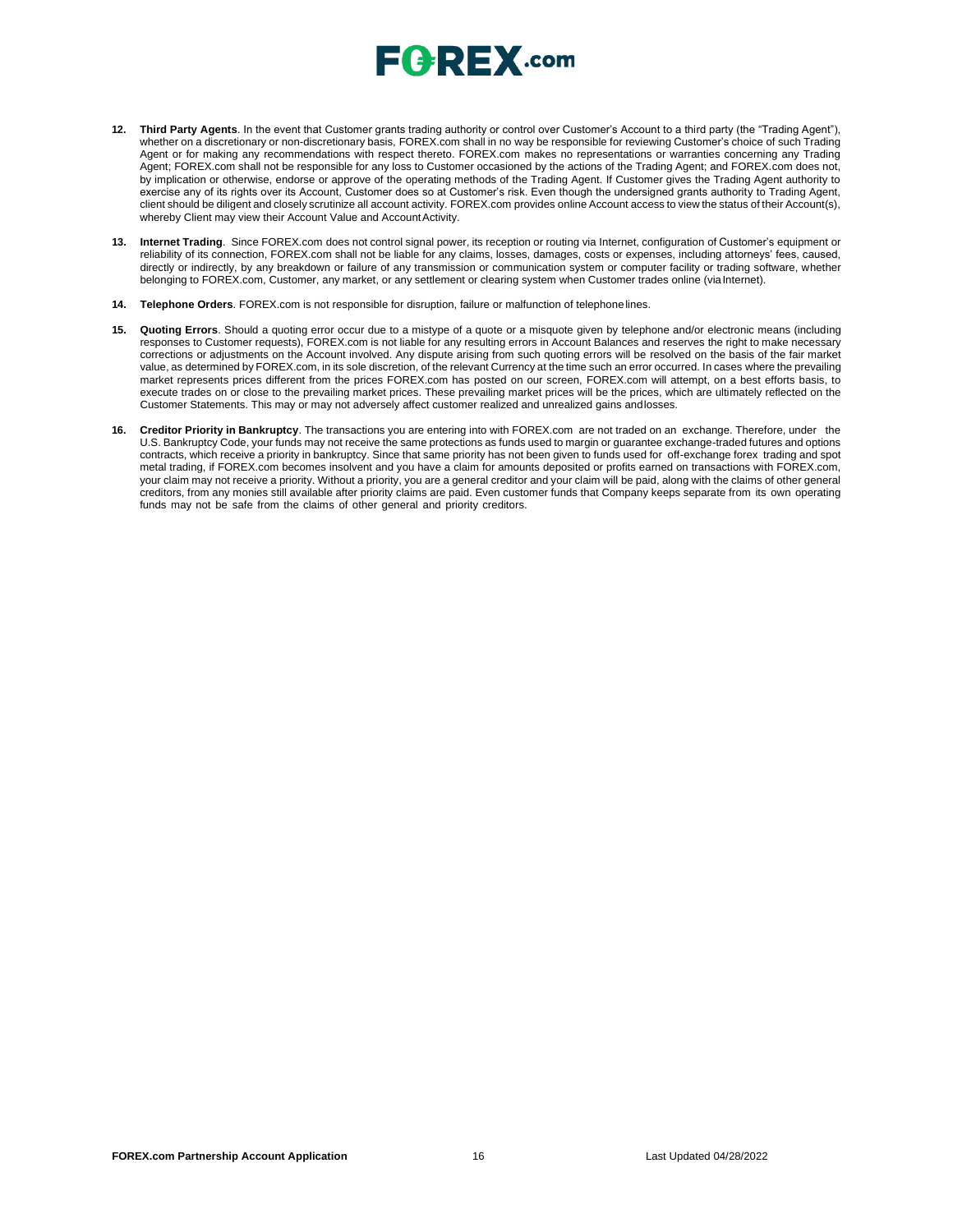## $E$   $R$   $E$   $X$  .com

- **12. Third Party Agents**. In the event that Customer grants trading authority or control over Customer's Account to a third party (the "Trading Agent"), whether on a discretionary or non-discretionary basis, FOREX.com shall in no way be responsible for reviewing Customer's choice of such Trading Agent or for making any recommendations with respect thereto. FOREX.com makes no representations or warranties concerning any Trading Agent; FOREX.com shall not be responsible for any loss to Customer occasioned by the actions of the Trading Agent; and FOREX.com does not, by implication or otherwise, endorse or approve of the operating methods of the Trading Agent. If Customer gives the Trading Agent authority to exercise any of its rights over its Account, Customer does so at Customer's risk. Even though the undersigned grants authority to Trading Agent, client should be diligent and closely scrutinize all account activity. FOREX.com provides online Account access to view the status of their Account(s), whereby Client may view their Account Value and Account Activity.
- **13. Internet Trading**. Since FOREX.com does not control signal power, its reception or routing via Internet, configuration of Customer's equipment or reliability of its connection, FOREX.com shall not be liable for any claims, losses, damages, costs or expenses, including attorneys' fees, caused, directly or indirectly, by any breakdown or failure of any transmission or communication system or computer facility or trading software, whether belonging to FOREX.com, Customer, any market, or any settlement or clearing system when Customer trades online (viaInternet).
- **14. Telephone Orders**. FOREX.com is not responsible for disruption, failure or malfunction of telephonelines.
- **15. Quoting Errors**. Should a quoting error occur due to a mistype of a quote or a misquote given by telephone and/or electronic means (including responses to Customer requests), FOREX.com is not liable for any resulting errors in Account Balances and reserves the right to make necessary corrections or adjustments on the Account involved. Any dispute arising from such quoting errors will be resolved on the basis of the fair market value, as determined by FOREX.com, in its sole discretion, of the relevant Currency at the time such an error occurred. In cases where the prevailing market represents prices different from the prices FOREX.com has posted on our screen, FOREX.com will attempt, on a best efforts basis, to execute trades on or close to the prevailing market prices. These prevailing market prices will be the prices, which are ultimately reflected on the Customer Statements. This may or may not adversely affect customer realized and unrealized gains andlosses.
- **16. Creditor Priority in Bankruptcy**. The transactions you are entering into with FOREX.com are not traded on an exchange. Therefore, under the U.S. Bankruptcy Code, your funds may not receive the same protections as funds used to margin or guarantee exchange-traded futures and options contracts, which receive a priority in bankruptcy. Since that same priority has not been given to funds used for off-exchange forex trading and spot metal trading, if FOREX.com becomes insolvent and you have a claim for amounts deposited or profits earned on transactions with FOREX.com, your claim may not receive a priority. Without a priority, you are a general creditor and your claim will be paid, along with the claims of other general creditors, from any monies still available after priority claims are paid. Even customer funds that Company keeps separate from its own operating funds may not be safe from the claims of other general and priority creditors.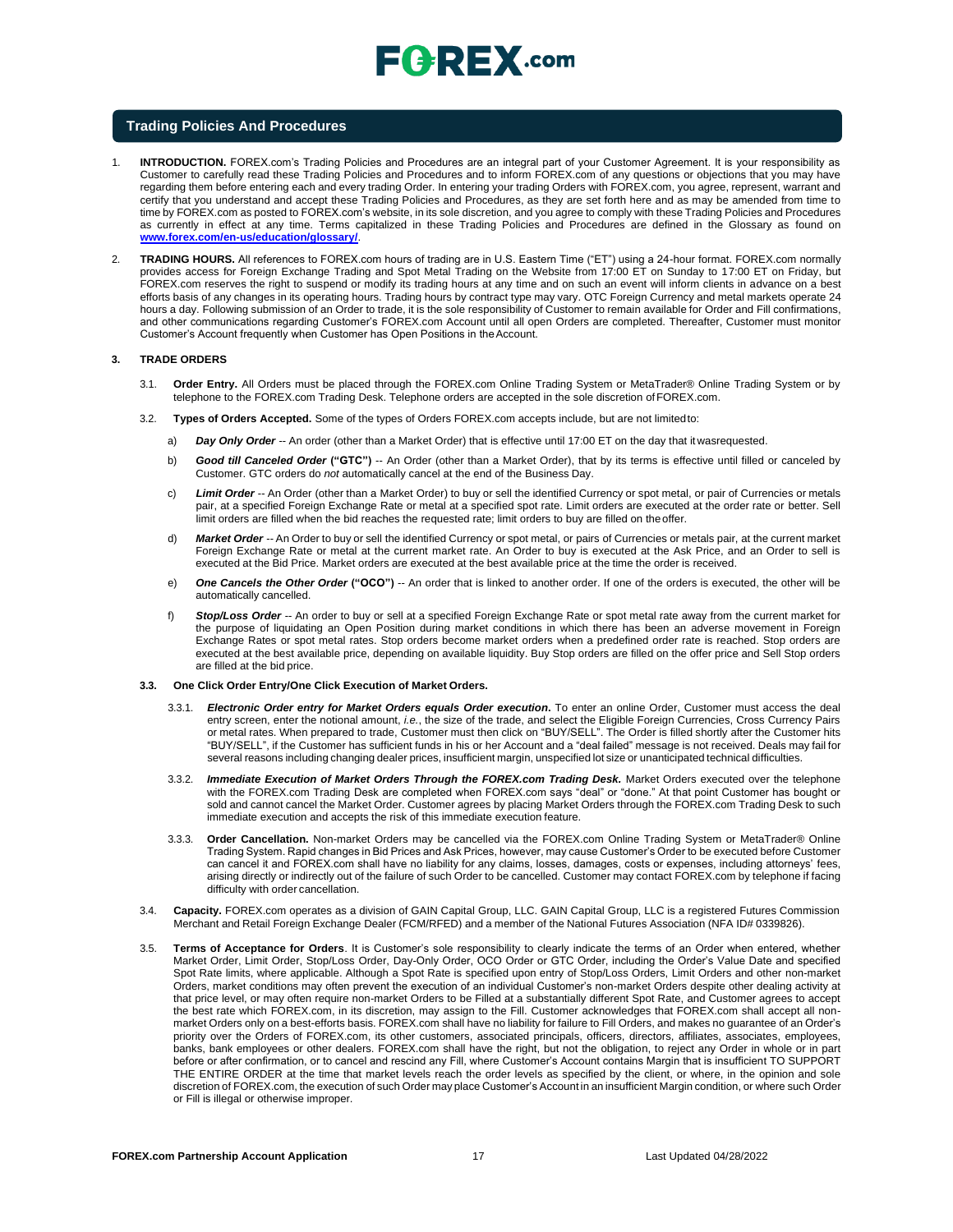

#### **Trading Policies And Procedures**

- 1. **INTRODUCTION.** FOREX.com's Trading Policies and Procedures are an integral part of your Customer Agreement. It is your responsibility as Customer to carefully read these Trading Policies and Procedures and to inform FOREX.com of any questions or objections that you may have regarding them before entering each and every trading Order. In entering your trading Orders with FOREX.com, you agree, represent, warrant and certify that you understand and accept these Trading Policies and Procedures, as they are set forth here and as may be amended from time to time by FOREX.com as posted to FOREX.com's website, in its sole discretion, and you agree to comply with these Trading Policies and Procedures as currently in effect at any time. Terms capitalized in these Trading Policies and Procedures are defined in the Glossary as found o[n](http://www.forex.com/en-us/education/glossary/) **[www.forex.com/en-us/education/glossary/](http://www.forex.com/en-us/education/glossary/)**.
- 2. **TRADING HOURS.** All references to FOREX.com hours of trading are in U.S. Eastern Time ("ET") using a 24-hour format. FOREX.com normally provides access for Foreign Exchange Trading and Spot Metal Trading on the Website from 17:00 ET on Sunday to 17:00 ET on Friday, but FOREX.com reserves the right to suspend or modify its trading hours at any time and on such an event will inform clients in advance on a best efforts basis of any changes in its operating hours. Trading hours by contract type may vary. OTC Foreign Currency and metal markets operate 24 hours a day. Following submission of an Order to trade, it is the sole responsibility of Customer to remain available for Order and Fill confirmations, and other communications regarding Customer's FOREX.com Account until all open Orders are completed. Thereafter, Customer must monitor Customer's Account frequently when Customer has Open Positions in theAccount.

#### **3. TRADE ORDERS**

- 3.1. **Order Entry.** All Orders must be placed through the FOREX.com Online Trading System or MetaTrader® Online Trading System or by telephone to the FOREX.com Trading Desk. Telephone orders are accepted in the sole discretion of FOREX.com.
- 3.2. **Types of Orders Accepted.** Some of the types of Orders FOREX.com accepts include, but are not limitedto:
	- a) *Day Only Order --* An order (other than a Market Order) that is effective until 17:00 ET on the day that itwasrequested.
	- b) *Good till Canceled Order* **("GTC")** -- An Order (other than a Market Order), that by its terms is effective until filled or canceled by Customer. GTC orders do *not* automatically cancel at the end of the Business Day.
	- c) *Limit Order --* An Order (other than a Market Order) to buy or sell the identified Currency or spot metal, or pair of Currencies or metals pair, at a specified Foreign Exchange Rate or metal at a specified spot rate. Limit orders are executed at the order rate or better. Sell limit orders are filled when the bid reaches the requested rate; limit orders to buy are filled on theoffer.
	- d) *Market Order --* An Order to buy or sell the identified Currency or spot metal, or pairs of Currencies or metals pair, at the current market Foreign Exchange Rate or metal at the current market rate. An Order to buy is executed at the Ask Price, and an Order to sell is executed at the Bid Price. Market orders are executed at the best available price at the time the order is received.
	- e) *One Cancels the Other Order* **("OCO")** -- An order that is linked to another order. If one of the orders is executed, the other will be automatically cancelled.
	- f) *Stop/Loss Order --* An order to buy or sell at a specified Foreign Exchange Rate or spot metal rate away from the current market for the purpose of liquidating an Open Position during market conditions in which there has been an adverse movement in Foreign Exchange Rates or spot metal rates. Stop orders become market orders when a predefined order rate is reached. Stop orders are executed at the best available price, depending on available liquidity. Buy Stop orders are filled on the offer price and Sell Stop orders are filled at the bid price.

#### **3.3. One Click Order Entry/One Click Execution of Market Orders.**

- 3.3.1. *Electronic Order entry for Market Orders equals Order execution***.** To enter an online Order, Customer must access the deal entry screen, enter the notional amount, *i.e.*, the size of the trade, and select the Eligible Foreign Currencies, Cross Currency Pairs or metal rates. When prepared to trade, Customer must then click on "BUY/SELL". The Order is filled shortly after the Customer hits "BUY/SELL", if the Customer has sufficient funds in his or her Account and a "deal failed" message is not received. Deals may fail for several reasons including changing dealer prices, insufficient margin, unspecified lot size or unanticipated technical difficulties.
- 3.3.2. *Immediate Execution of Market Orders Through the FOREX.com Trading Desk.* Market Orders executed over the telephone with the FOREX.com Trading Desk are completed when FOREX.com says "deal" or "done." At that point Customer has bought or sold and cannot cancel the Market Order. Customer agrees by placing Market Orders through the FOREX.com Trading Desk to such immediate execution and accepts the risk of this immediate execution feature.
- 3.3.3. **Order Cancellation.** Non-market Orders may be cancelled via the FOREX.com Online Trading System or MetaTrader® Online Trading System. Rapid changes in Bid Prices and Ask Prices, however, may cause Customer's Order to be executed before Customer can cancel it and FOREX.com shall have no liability for any claims, losses, damages, costs or expenses, including attorneys' fees, arising directly or indirectly out of the failure of such Order to be cancelled. Customer may contact FOREX.com by telephone if facing difficulty with order cancellation.
- 3.4. **Capacity.** FOREX.com operates as a division of GAIN Capital Group, LLC. GAIN Capital Group, LLC is a registered Futures Commission Merchant and Retail Foreign Exchange Dealer (FCM/RFED) and a member of the National Futures Association (NFA ID# 0339826).
- 3.5. **Terms of Acceptance for Orders**. It is Customer's sole responsibility to clearly indicate the terms of an Order when entered, whether Market Order, Limit Order, Stop/Loss Order, Day-Only Order, OCO Order or GTC Order, including the Order's Value Date and specified Spot Rate limits, where applicable. Although a Spot Rate is specified upon entry of Stop/Loss Orders, Limit Orders and other non-market Orders, market conditions may often prevent the execution of an individual Customer's non-market Orders despite other dealing activity at that price level, or may often require non-market Orders to be Filled at a substantially different Spot Rate, and Customer agrees to accept the best rate which FOREX.com, in its discretion, may assign to the Fill. Customer acknowledges that FOREX.com shall accept all nonmarket Orders only on a best-efforts basis. FOREX.com shall have no liability for failure to Fill Orders, and makes no guarantee of an Order's priority over the Orders of FOREX.com, its other customers, associated principals, officers, directors, affiliates, associates, employees, banks, bank employees or other dealers. FOREX.com shall have the right, but not the obligation, to reject any Order in whole or in part before or after confirmation, or to cancel and rescind any Fill, where Customer's Account contains Margin that is insufficient TO SUPPORT THE ENTIRE ORDER at the time that market levels reach the order levels as specified by the client, or where, in the opinion and sole discretion of FOREX.com, the execution of such Order may place Customer's Account in an insufficient Margin condition, or where such Order or Fill is illegal or otherwise improper.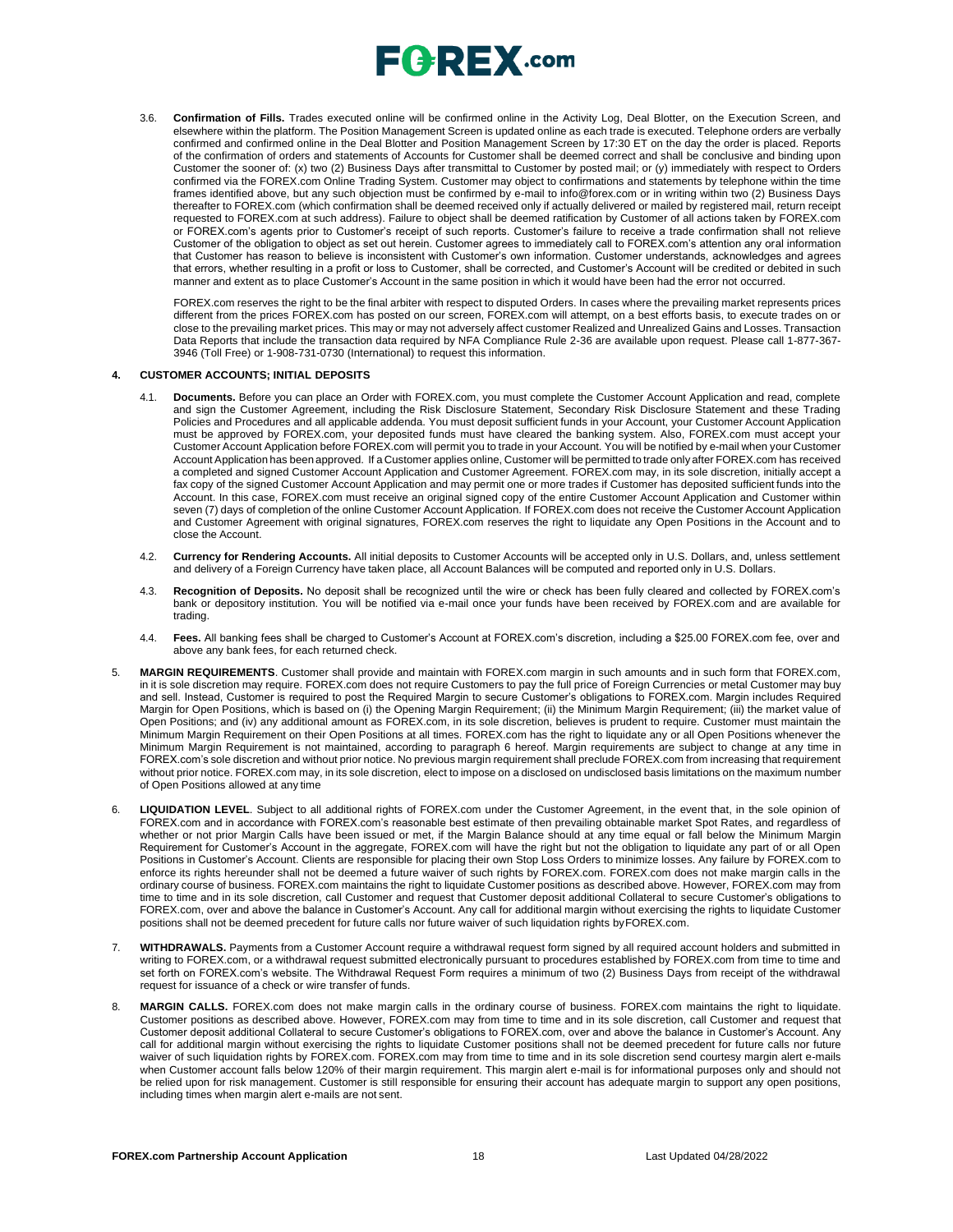

3.6. **Confirmation of Fills.** Trades executed online will be confirmed online in the Activity Log, Deal Blotter, on the Execution Screen, and elsewhere within the platform. The Position Management Screen is updated online as each trade is executed. Telephone orders are verbally confirmed and confirmed online in the Deal Blotter and Position Management Screen by 17:30 ET on the day the order is placed. Reports of the confirmation of orders and statements of Accounts for Customer shall be deemed correct and shall be conclusive and binding upon Customer the sooner of: (x) two (2) Business Days after transmittal to Customer by posted mail; or (y) immediately with respect to Orders confirmed via the FOREX.com Online Trading System. Customer may object to confirmations and statements by telephone within the time frames identified above, but any such objection must be confirmed by e-mail t[o info@forex.com o](mailto:info@forex.com)r in writing within two (2) Business Days thereafter to FOREX.com (which confirmation shall be deemed received only if actually delivered or mailed by registered mail, return receipt requested to FOREX.com at such address). Failure to object shall be deemed ratification by Customer of all actions taken by FOREX.com or FOREX.com's agents prior to Customer's receipt of such reports. Customer's failure to receive a trade confirmation shall not relieve Customer of the obligation to object as set out herein. Customer agrees to immediately call to FOREX.com's attention any oral information that Customer has reason to believe is inconsistent with Customer's own information. Customer understands, acknowledges and agrees that errors, whether resulting in a profit or loss to Customer, shall be corrected, and Customer's Account will be credited or debited in such manner and extent as to place Customer's Account in the same position in which it would have been had the error not occurred.

FOREX.com reserves the right to be the final arbiter with respect to disputed Orders. In cases where the prevailing market represents prices different from the prices FOREX.com has posted on our screen, FOREX.com will attempt, on a best efforts basis, to execute trades on or close to the prevailing market prices. This may or may not adversely affect customer Realized and Unrealized Gains and Losses. Transaction Data Reports that include the transaction data required by NFA Compliance Rule 2-36 are available upon request. Please call 1-877-367- 3946 (Toll Free) or 1-908-731-0730 (International) to request this information.

#### **4. CUSTOMER ACCOUNTS; INITIAL DEPOSITS**

- 4.1. **Documents.** Before you can place an Order with FOREX.com, you must complete the Customer Account Application and read, complete and sign the Customer Agreement, including the Risk Disclosure Statement, Secondary Risk Disclosure Statement and these Trading Policies and Procedures and all applicable addenda. You must deposit sufficient funds in your Account, your Customer Account Application must be approved by FOREX.com, your deposited funds must have cleared the banking system. Also, FOREX.com must accept your Customer Account Application before FOREX.com will permit you to trade in your Account. You will be notified by e-mail when your Customer Account Application has been approved. If a Customer applies online, Customer will be permitted to trade only after FOREX.com has received a completed and signed Customer Account Application and Customer Agreement. FOREX.com may, in its sole discretion, initially accept a fax copy of the signed Customer Account Application and may permit one or more trades if Customer has deposited sufficient funds into the Account. In this case, FOREX.com must receive an original signed copy of the entire Customer Account Application and Customer within seven (7) days of completion of the online Customer Account Application. If FOREX.com does not receive the Customer Account Application and Customer Agreement with original signatures, FOREX.com reserves the right to liquidate any Open Positions in the Account and to close the Account.
- 4.2. **Currency for Rendering Accounts.** All initial deposits to Customer Accounts will be accepted only in U.S. Dollars, and, unless settlement and delivery of a Foreign Currency have taken place, all Account Balances will be computed and reported only in U.S. Dollars.
- 4.3. **Recognition of Deposits.** No deposit shall be recognized until the wire or check has been fully cleared and collected by FOREX.com's bank or depository institution. You will be notified via e-mail once your funds have been received by FOREX.com and are available for trading.
- 4.4. **Fees.** All banking fees shall be charged to Customer's Account at FOREX.com's discretion, including a \$25.00 FOREX.com fee, over and above any bank fees, for each returned check.
- 5. **MARGIN REQUIREMENTS**. Customer shall provide and maintain with FOREX.com margin in such amounts and in such form that FOREX.com, in it is sole discretion may require. FOREX.com does not require Customers to pay the full price of Foreign Currencies or metal Customer may buy and sell. Instead, Customer is required to post the Required Margin to secure Customer's obligations to FOREX.com. Margin includes Required Margin for Open Positions, which is based on (i) the Opening Margin Requirement; (ii) the Minimum Margin Requirement; (iii) the market value of Open Positions; and (iv) any additional amount as FOREX.com, in its sole discretion, believes is prudent to require. Customer must maintain the Minimum Margin Requirement on their Open Positions at all times. FOREX.com has the right to liquidate any or all Open Positions whenever the Minimum Margin Requirement is not maintained, according to paragraph 6 hereof. Margin requirements are subject to change at any time in FOREX.com's sole discretion and without prior notice. No previous margin requirement shall preclude FOREX.com from increasing that requirement without prior notice. FOREX.com may, in its sole discretion, elect to impose on a disclosed on undisclosed basis limitations on the maximum number of Open Positions allowed at any time
- 6. **LIQUIDATION LEVEL**. Subject to all additional rights of FOREX.com under the Customer Agreement, in the event that, in the sole opinion of FOREX.com and in accordance with FOREX.com's reasonable best estimate of then prevailing obtainable market Spot Rates, and regardless of whether or not prior Margin Calls have been issued or met, if the Margin Balance should at any time equal or fall below the Minimum Margin Requirement for Customer's Account in the aggregate, FOREX.com will have the right but not the obligation to liquidate any part of or all Open Positions in Customer's Account. Clients are responsible for placing their own Stop Loss Orders to minimize losses. Any failure by FOREX.com to enforce its rights hereunder shall not be deemed a future waiver of such rights by FOREX.com. FOREX.com does not make margin calls in the ordinary course of business. FOREX.com maintains the right to liquidate Customer positions as described above. However, FOREX.com may from time to time and in its sole discretion, call Customer and request that Customer deposit additional Collateral to secure Customer's obligations to FOREX.com, over and above the balance in Customer's Account. Any call for additional margin without exercising the rights to liquidate Customer positions shall not be deemed precedent for future calls nor future waiver of such liquidation rights byFOREX.com.
- WITHDRAWALS. Payments from a Customer Account require a withdrawal request form signed by all required account holders and submitted in writing to FOREX.com, or a withdrawal request submitted electronically pursuant to procedures established by FOREX.com from time to time and set forth on FOREX.com's website. The Withdrawal Request Form requires a minimum of two (2) Business Days from receipt of the withdrawal request for issuance of a check or wire transfer of funds.
- 8. **MARGIN CALLS.** FOREX.com does not make margin calls in the ordinary course of business. FOREX.com maintains the right to liquidate. Customer positions as described above. However, FOREX.com may from time to time and in its sole discretion, call Customer and request that Customer deposit additional Collateral to secure Customer's obligations to FOREX.com, over and above the balance in Customer's Account. Any call for additional margin without exercising the rights to liquidate Customer positions shall not be deemed precedent for future calls nor future waiver of such liquidation rights by FOREX.com. FOREX.com may from time to time and in its sole discretion send courtesy margin alert e-mails when Customer account falls below 120% of their margin requirement. This margin alert e-mail is for informational purposes only and should not be relied upon for risk management. Customer is still responsible for ensuring their account has adequate margin to support any open positions, including times when margin alert e-mails are not sent.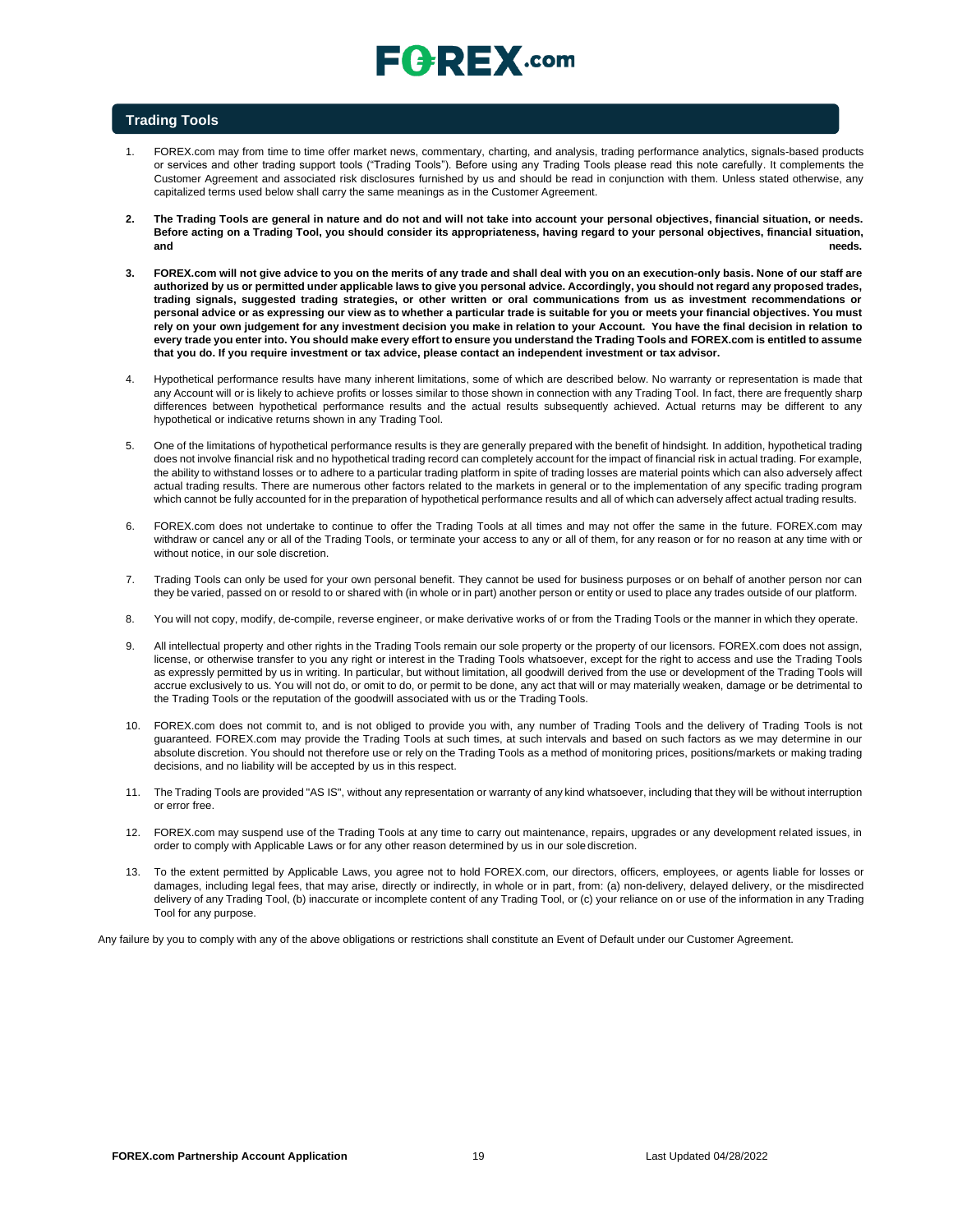# $E$   $R$   $E$   $X$  .com

### **Trading Tools**

- 1. FOREX.com may from time to time offer market news, commentary, charting, and analysis, trading performance analytics, signals-based products or services and other trading support tools ("Trading Tools"). Before using any Trading Tools please read this note carefully. It complements the Customer Agreement and associated risk disclosures furnished by us and should be read in conjunction with them. Unless stated otherwise, any capitalized terms used below shall carry the same meanings as in the Customer Agreement.
- **2. The Trading Tools are general in nature and do not and will not take into account your personal objectives, financial situation, or needs. Before acting on a Trading Tool, you should consider its appropriateness, having regard to your personal objectives, financial situation, and needs.**
- **3. FOREX.com will not give advice to you on the merits of any trade and shall deal with you on an execution-only basis. None of our staff are authorized by us or permitted under applicable laws to give you personal advice. Accordingly, you should not regard any proposed trades, trading signals, suggested trading strategies, or other written or oral communications from us as investment recommendations or personal advice or as expressing our view as to whether a particular trade is suitable for you or meets your financial objectives. You must** rely on your own judgement for any investment decision you make in relation to your Account. You have the final decision in relation to **every trade you enter into. You should make every effort to ensure you understand the Trading Tools and FOREX.com is entitled to assume that you do. If you require investment or tax advice, please contact an independent investment or tax advisor.**
- 4. Hypothetical performance results have many inherent limitations, some of which are described below. No warranty or representation is made that any Account will or is likely to achieve profits or losses similar to those shown in connection with any Trading Tool. In fact, there are frequently sharp differences between hypothetical performance results and the actual results subsequently achieved. Actual returns may be different to any hypothetical or indicative returns shown in any Trading Tool.
- 5. One of the limitations of hypothetical performance results is they are generally prepared with the benefit of hindsight. In addition, hypothetical trading does not involve financial risk and no hypothetical trading record can completely account for the impact of financial risk in actual trading. For example, the ability to withstand losses or to adhere to a particular trading platform in spite of trading losses are material points which can also adversely affect actual trading results. There are numerous other factors related to the markets in general or to the implementation of any specific trading program which cannot be fully accounted for in the preparation of hypothetical performance results and all of which can adversely affect actual trading results.
- 6. FOREX.com does not undertake to continue to offer the Trading Tools at all times and may not offer the same in the future. FOREX.com may withdraw or cancel any or all of the Trading Tools, or terminate your access to any or all of them, for any reason or for no reason at any time with or without notice, in our sole discretion.
- 7. Trading Tools can only be used for your own personal benefit. They cannot be used for business purposes or on behalf of another person nor can they be varied, passed on or resold to or shared with (in whole or in part) another person or entity or used to place any trades outside of our platform.
- 8. You will not copy, modify, de-compile, reverse engineer, or make derivative works of or from the Trading Tools or the manner in which they operate.
- 9. All intellectual property and other rights in the Trading Tools remain our sole property or the property of our licensors. FOREX.com does not assign, license, or otherwise transfer to you any right or interest in the Trading Tools whatsoever, except for the right to access and use the Trading Tools as expressly permitted by us in writing. In particular, but without limitation, all goodwill derived from the use or development of the Trading Tools will accrue exclusively to us. You will not do, or omit to do, or permit to be done, any act that will or may materially weaken, damage or be detrimental to the Trading Tools or the reputation of the goodwill associated with us or the Trading Tools.
- 10. FOREX.com does not commit to, and is not obliged to provide you with, any number of Trading Tools and the delivery of Trading Tools is not guaranteed. FOREX.com may provide the Trading Tools at such times, at such intervals and based on such factors as we may determine in our absolute discretion. You should not therefore use or rely on the Trading Tools as a method of monitoring prices, positions/markets or making trading decisions, and no liability will be accepted by us in this respect.
- 11. The Trading Tools are provided "AS IS", without any representation or warranty of any kind whatsoever, including that they will be without interruption or error free.
- 12. FOREX.com may suspend use of the Trading Tools at any time to carry out maintenance, repairs, upgrades or any development related issues, in order to comply with Applicable Laws or for any other reason determined by us in our solediscretion.
- 13. To the extent permitted by Applicable Laws, you agree not to hold FOREX.com, our directors, officers, employees, or agents liable for losses or damages, including legal fees, that may arise, directly or indirectly, in whole or in part, from: (a) non-delivery, delayed delivery, or the misdirected delivery of any Trading Tool, (b) inaccurate or incomplete content of any Trading Tool, or (c) your reliance on or use of the information in any Trading Tool for any purpose.

Any failure by you to comply with any of the above obligations or restrictions shall constitute an Event of Default under our Customer Agreement.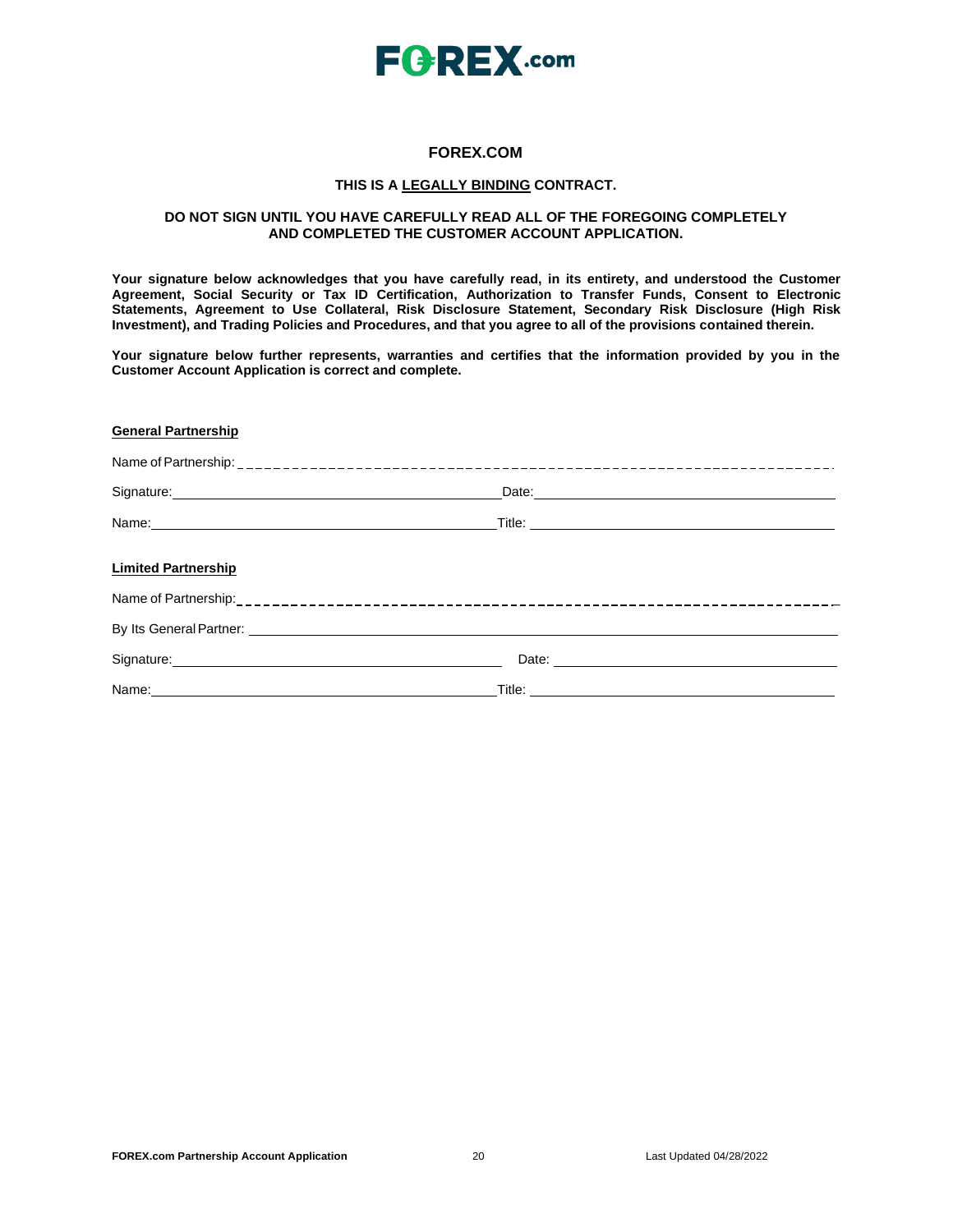

## **FOREX.COM**

#### **THIS IS A LEGALLY BINDING CONTRACT.**

### **DO NOT SIGN UNTIL YOU HAVE CAREFULLY READ ALL OF THE FOREGOING COMPLETELY AND COMPLETED THE CUSTOMER ACCOUNT APPLICATION.**

**Your signature below acknowledges that you have carefully read, in its entirety, and understood the Customer Agreement, Social Security or Tax ID Certification, Authorization to Transfer Funds, Consent to Electronic Statements, Agreement to Use Collateral, Risk Disclosure Statement, Secondary Risk Disclosure (High Risk Investment), and Trading Policies and Procedures, and that you agree to all of the provisions contained therein.**

**Your signature below further represents, warranties and certifies that the information provided by you in the Customer Account Application is correct and complete.**

#### **General Partnership**

| <b>Limited Partnership</b>       |                                                                                                                                                                                                                                     |  |
|----------------------------------|-------------------------------------------------------------------------------------------------------------------------------------------------------------------------------------------------------------------------------------|--|
|                                  |                                                                                                                                                                                                                                     |  |
|                                  | By Its General Partner: <u>Communications</u> Control of the Control of the Control of the Control of the Control of the Control of the Control of the Control of the Control of the Control of the Control of the Control of the C |  |
| Signature: <u>Communications</u> |                                                                                                                                                                                                                                     |  |
| Name:                            | Title:                                                                                                                                                                                                                              |  |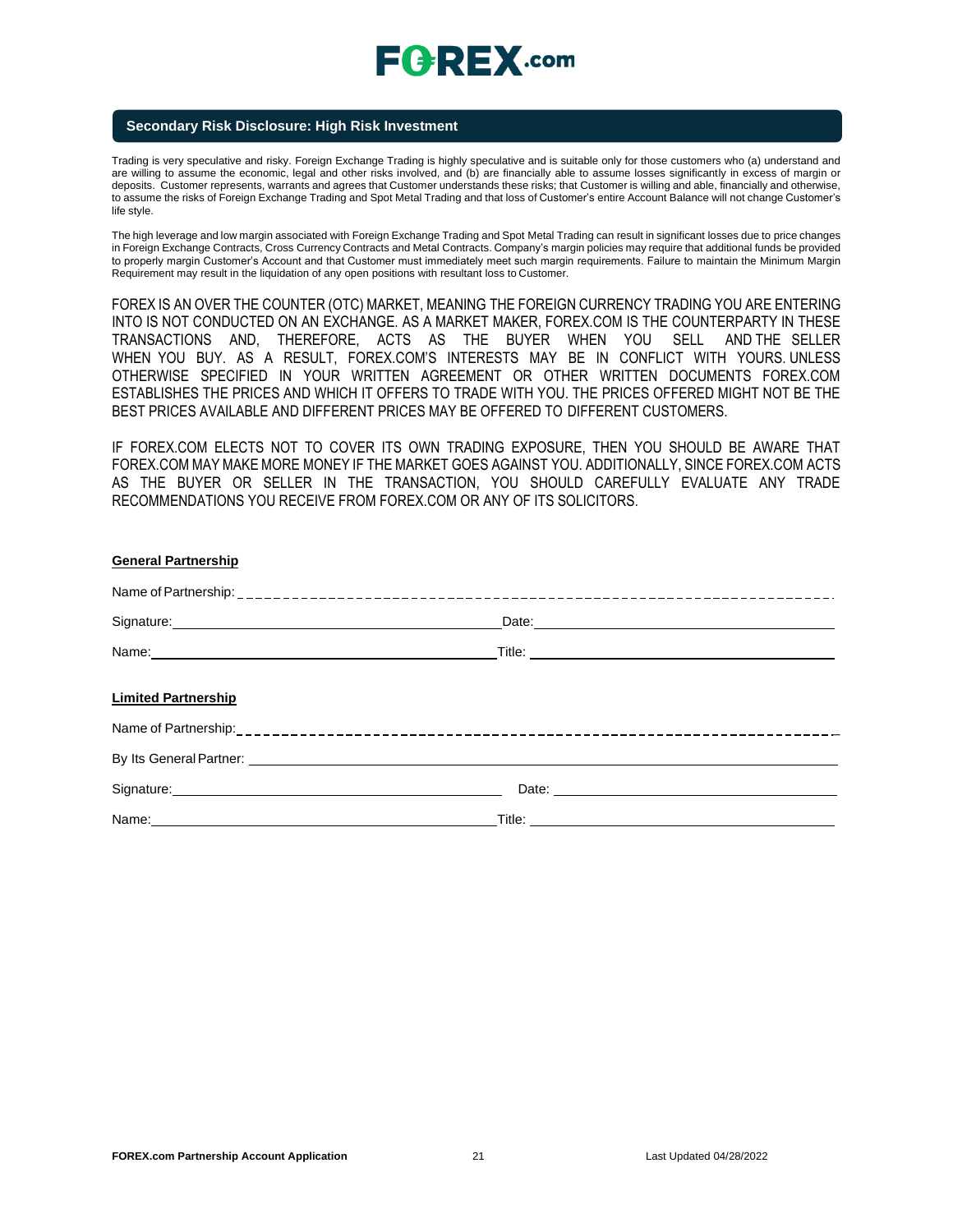# $E$ **CREX**.com

### **Secondary Risk Disclosure: High Risk Investment**

Trading is very speculative and risky. Foreign Exchange Trading is highly speculative and is suitable only for those customers who (a) understand and are willing to assume the economic, legal and other risks involved, and (b) are financially able to assume losses significantly in excess of margin or deposits. Customer represents, warrants and agrees that Customer understands these risks; that Customer is willing and able, financially and otherwise, to assume the risks of Foreign Exchange Trading and Spot Metal Trading and that loss of Customer's entire Account Balance will not change Customer's life style.

The high leverage and low margin associated with Foreign Exchange Trading and Spot Metal Trading can result in significant losses due to price changes in Foreign Exchange Contracts, Cross Currency Contracts and Metal Contracts. Company's margin policies may require that additional funds be provided to properly margin Customer's Account and that Customer must immediately meet such margin requirements. Failure to maintain the Minimum Margin Requirement may result in the liquidation of any open positions with resultant loss to Customer.

FOREX IS AN OVER THE COUNTER (OTC) MARKET, MEANING THE FOREIGN CURRENCY TRADING YOU ARE ENTERING INTO IS NOT CONDUCTED ON AN EXCHANGE. AS A MARKET MAKER, FOREX.COM IS THE COUNTERPARTY IN THESE TRANSACTIONS AND, THEREFORE, ACTS AS THE BUYER WHEN YOU SELL AND THE SELLER WHEN YOU BUY. AS A RESULT, FOREX.COM'S INTERESTS MAY BE IN CONFLICT WITH YOURS. UNLESS OTHERWISE SPECIFIED IN YOUR WRITTEN AGREEMENT OR OTHER WRITTEN DOCUMENTS FOREX.COM ESTABLISHES THE PRICES AND WHICH IT OFFERS TO TRADE WITH YOU. THE PRICES OFFERED MIGHT NOT BE THE BEST PRICES AVAILABLE AND DIFFERENT PRICES MAY BE OFFERED TO DIFFERENT CUSTOMERS.

IF FOREX.COM ELECTS NOT TO COVER ITS OWN TRADING EXPOSURE, THEN YOU SHOULD BE AWARE THAT FOREX.COM MAY MAKE MORE MONEY IF THE MARKET GOES AGAINST YOU. ADDITIONALLY, SINCE FOREX.COM ACTS AS THE BUYER OR SELLER IN THE TRANSACTION, YOU SHOULD CAREFULLY EVALUATE ANY TRADE RECOMMENDATIONS YOU RECEIVE FROM FOREX.COM OR ANY OF ITS SOLICITORS.

| <b>General Partnership</b>                                                                                                                                                                                                           |                                                                                                                                                                                                                                     |
|--------------------------------------------------------------------------------------------------------------------------------------------------------------------------------------------------------------------------------------|-------------------------------------------------------------------------------------------------------------------------------------------------------------------------------------------------------------------------------------|
|                                                                                                                                                                                                                                      |                                                                                                                                                                                                                                     |
| Signature: <u>Contractor Communication</u> Contractor Communication Contractor Communication                                                                                                                                         |                                                                                                                                                                                                                                     |
|                                                                                                                                                                                                                                      |                                                                                                                                                                                                                                     |
| <b>Limited Partnership</b>                                                                                                                                                                                                           |                                                                                                                                                                                                                                     |
|                                                                                                                                                                                                                                      |                                                                                                                                                                                                                                     |
| By Its General Partner: <u>Communications</u> of the Communication of the Communications of the Communications of the Communications of the Communications of the Communications of the Communications of the Communications of the  |                                                                                                                                                                                                                                     |
| Signature: <u>contract and a series of the series of the series of the series of the series of the series of the series of the series of the series of the series of the series of the series of the series of the series of the</u> | Date: <u>experience</u> and the second contract of the second contract of the second contract of the second contract of the second contract of the second contract of the second contract of the second contract of the second cont |
| Name: 2008 2010 2020 2020 2020 2021 2021 2022 2022 2022 2022 2022 2022 2022 2022 2022 2022 2022 2022 2022 2022                                                                                                                       |                                                                                                                                                                                                                                     |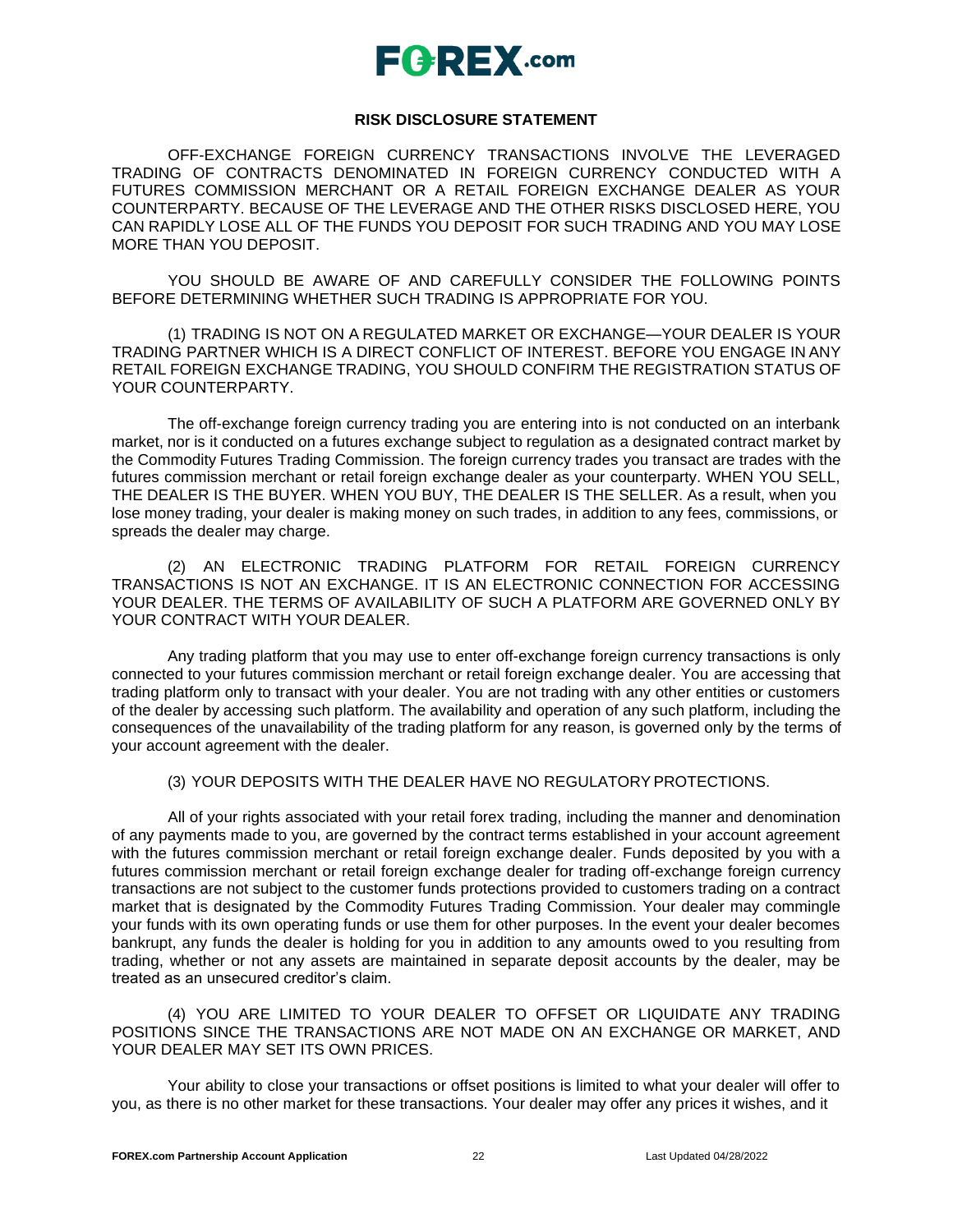## $E$ **AREX**.com

### **RISK DISCLOSURE STATEMENT**

OFF-EXCHANGE FOREIGN CURRENCY TRANSACTIONS INVOLVE THE LEVERAGED TRADING OF CONTRACTS DENOMINATED IN FOREIGN CURRENCY CONDUCTED WITH A FUTURES COMMISSION MERCHANT OR A RETAIL FOREIGN EXCHANGE DEALER AS YOUR COUNTERPARTY. BECAUSE OF THE LEVERAGE AND THE OTHER RISKS DISCLOSED HERE, YOU CAN RAPIDLY LOSE ALL OF THE FUNDS YOU DEPOSIT FOR SUCH TRADING AND YOU MAY LOSE MORE THAN YOU DEPOSIT.

YOU SHOULD BE AWARE OF AND CAREFULLY CONSIDER THE FOLLOWING POINTS BEFORE DETERMINING WHETHER SUCH TRADING IS APPROPRIATE FOR YOU.

(1) TRADING IS NOT ON A REGULATED MARKET OR EXCHANGE—YOUR DEALER IS YOUR TRADING PARTNER WHICH IS A DIRECT CONFLICT OF INTEREST. BEFORE YOU ENGAGE IN ANY RETAIL FOREIGN EXCHANGE TRADING, YOU SHOULD CONFIRM THE REGISTRATION STATUS OF YOUR COUNTERPARTY.

The off-exchange foreign currency trading you are entering into is not conducted on an interbank market, nor is it conducted on a futures exchange subject to regulation as a designated contract market by the Commodity Futures Trading Commission. The foreign currency trades you transact are trades with the futures commission merchant or retail foreign exchange dealer as your counterparty. WHEN YOU SELL, THE DEALER IS THE BUYER. WHEN YOU BUY, THE DEALER IS THE SELLER. As a result, when you lose money trading, your dealer is making money on such trades, in addition to any fees, commissions, or spreads the dealer may charge.

(2) AN ELECTRONIC TRADING PLATFORM FOR RETAIL FOREIGN CURRENCY TRANSACTIONS IS NOT AN EXCHANGE. IT IS AN ELECTRONIC CONNECTION FOR ACCESSING YOUR DEALER. THE TERMS OF AVAILABILITY OF SUCH A PLATFORM ARE GOVERNED ONLY BY YOUR CONTRACT WITH YOUR DEALER.

Any trading platform that you may use to enter off-exchange foreign currency transactions is only connected to your futures commission merchant or retail foreign exchange dealer. You are accessing that trading platform only to transact with your dealer. You are not trading with any other entities or customers of the dealer by accessing such platform. The availability and operation of any such platform, including the consequences of the unavailability of the trading platform for any reason, is governed only by the terms of your account agreement with the dealer.

(3) YOUR DEPOSITS WITH THE DEALER HAVE NO REGULATORYPROTECTIONS.

All of your rights associated with your retail forex trading, including the manner and denomination of any payments made to you, are governed by the contract terms established in your account agreement with the futures commission merchant or retail foreign exchange dealer. Funds deposited by you with a futures commission merchant or retail foreign exchange dealer for trading off-exchange foreign currency transactions are not subject to the customer funds protections provided to customers trading on a contract market that is designated by the Commodity Futures Trading Commission. Your dealer may commingle your funds with its own operating funds or use them for other purposes. In the event your dealer becomes bankrupt, any funds the dealer is holding for you in addition to any amounts owed to you resulting from trading, whether or not any assets are maintained in separate deposit accounts by the dealer, may be treated as an unsecured creditor's claim.

(4) YOU ARE LIMITED TO YOUR DEALER TO OFFSET OR LIQUIDATE ANY TRADING POSITIONS SINCE THE TRANSACTIONS ARE NOT MADE ON AN EXCHANGE OR MARKET, AND YOUR DEALER MAY SET ITS OWN PRICES.

Your ability to close your transactions or offset positions is limited to what your dealer will offer to you, as there is no other market for these transactions. Your dealer may offer any prices it wishes, and it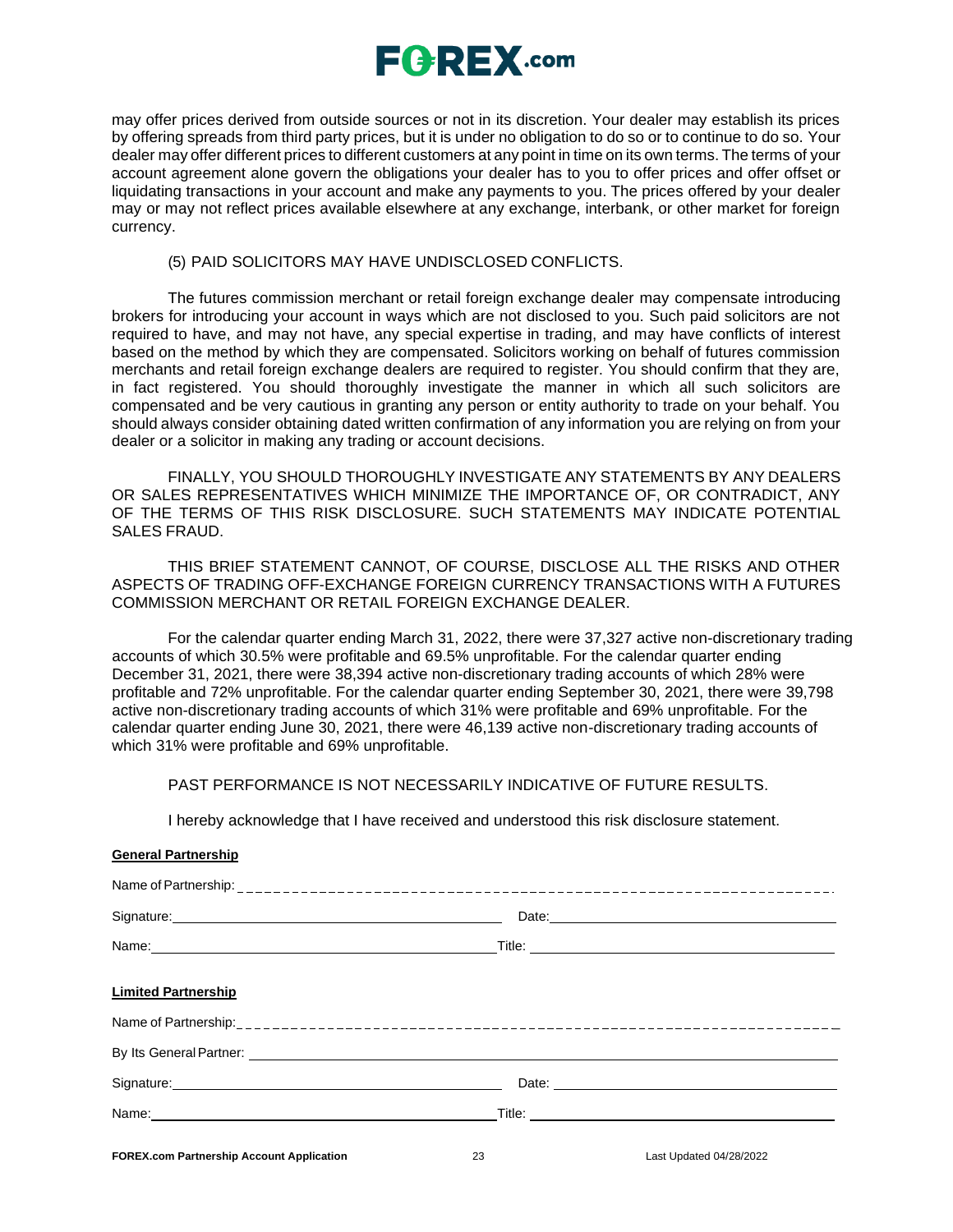

may offer prices derived from outside sources or not in its discretion. Your dealer may establish its prices by offering spreads from third party prices, but it is under no obligation to do so or to continue to do so. Your dealer may offer different prices to different customers at any point in time on its own terms. The terms of your account agreement alone govern the obligations your dealer has to you to offer prices and offer offset or liquidating transactions in your account and make any payments to you. The prices offered by your dealer may or may not reflect prices available elsewhere at any exchange, interbank, or other market for foreign currency.

### (5) PAID SOLICITORS MAY HAVE UNDISCLOSED CONFLICTS.

The futures commission merchant or retail foreign exchange dealer may compensate introducing brokers for introducing your account in ways which are not disclosed to you. Such paid solicitors are not required to have, and may not have, any special expertise in trading, and may have conflicts of interest based on the method by which they are compensated. Solicitors working on behalf of futures commission merchants and retail foreign exchange dealers are required to register. You should confirm that they are, in fact registered. You should thoroughly investigate the manner in which all such solicitors are compensated and be very cautious in granting any person or entity authority to trade on your behalf. You should always consider obtaining dated written confirmation of any information you are relying on from your dealer or a solicitor in making any trading or account decisions.

FINALLY, YOU SHOULD THOROUGHLY INVESTIGATE ANY STATEMENTS BY ANY DEALERS OR SALES REPRESENTATIVES WHICH MINIMIZE THE IMPORTANCE OF, OR CONTRADICT, ANY OF THE TERMS OF THIS RISK DISCLOSURE. SUCH STATEMENTS MAY INDICATE POTENTIAL SALES FRAUD.

THIS BRIEF STATEMENT CANNOT, OF COURSE, DISCLOSE ALL THE RISKS AND OTHER ASPECTS OF TRADING OFF-EXCHANGE FOREIGN CURRENCY TRANSACTIONS WITH A FUTURES COMMISSION MERCHANT OR RETAIL FOREIGN EXCHANGE DEALER.

For the calendar quarter ending March 31, 2022, there were 37,327 active non-discretionary trading accounts of which 30.5% were profitable and 69.5% unprofitable. For the calendar quarter ending December 31, 2021, there were 38,394 active non-discretionary trading accounts of which 28% were profitable and 72% unprofitable. For the calendar quarter ending September 30, 2021, there were 39,798 active non-discretionary trading accounts of which 31% were profitable and 69% unprofitable. For the calendar quarter ending June 30, 2021, there were 46,139 active non-discretionary trading accounts of which 31% were profitable and 69% unprofitable.

## PAST PERFORMANCE IS NOT NECESSARILY INDICATIVE OF FUTURE RESULTS.

I hereby acknowledge that I have received and understood this risk disclosure statement.

| 90110101110110131110            |  |
|---------------------------------|--|
|                                 |  |
|                                 |  |
| Name of Partnership: __________ |  |
|                                 |  |

**General Partnership**

| Signature: <u>Contract Communication</u>                                                                                                                                                                                             |                                                                                                                                                                                                                                     |  |
|--------------------------------------------------------------------------------------------------------------------------------------------------------------------------------------------------------------------------------------|-------------------------------------------------------------------------------------------------------------------------------------------------------------------------------------------------------------------------------------|--|
| Name: Name and the second contract of the second contract of the second contract of the second contract of the second contract of the second contract of the second contract of the second contract of the second contract of        |                                                                                                                                                                                                                                     |  |
| <b>Limited Partnership</b>                                                                                                                                                                                                           |                                                                                                                                                                                                                                     |  |
|                                                                                                                                                                                                                                      |                                                                                                                                                                                                                                     |  |
|                                                                                                                                                                                                                                      | By Its General Partner: <u>Communications</u> Control of the Control of the Control of the Control of the Control of the Control of the Control of the Control of the Control of the Control of the Control of the Control of the C |  |
| Signature: <u>contract and contract and contract and contract and contract and contract and contract and contract and contract and contract and contract and contract and contract and contract and contract and contract and co</u> | Date:                                                                                                                                                                                                                               |  |
|                                                                                                                                                                                                                                      |                                                                                                                                                                                                                                     |  |
|                                                                                                                                                                                                                                      |                                                                                                                                                                                                                                     |  |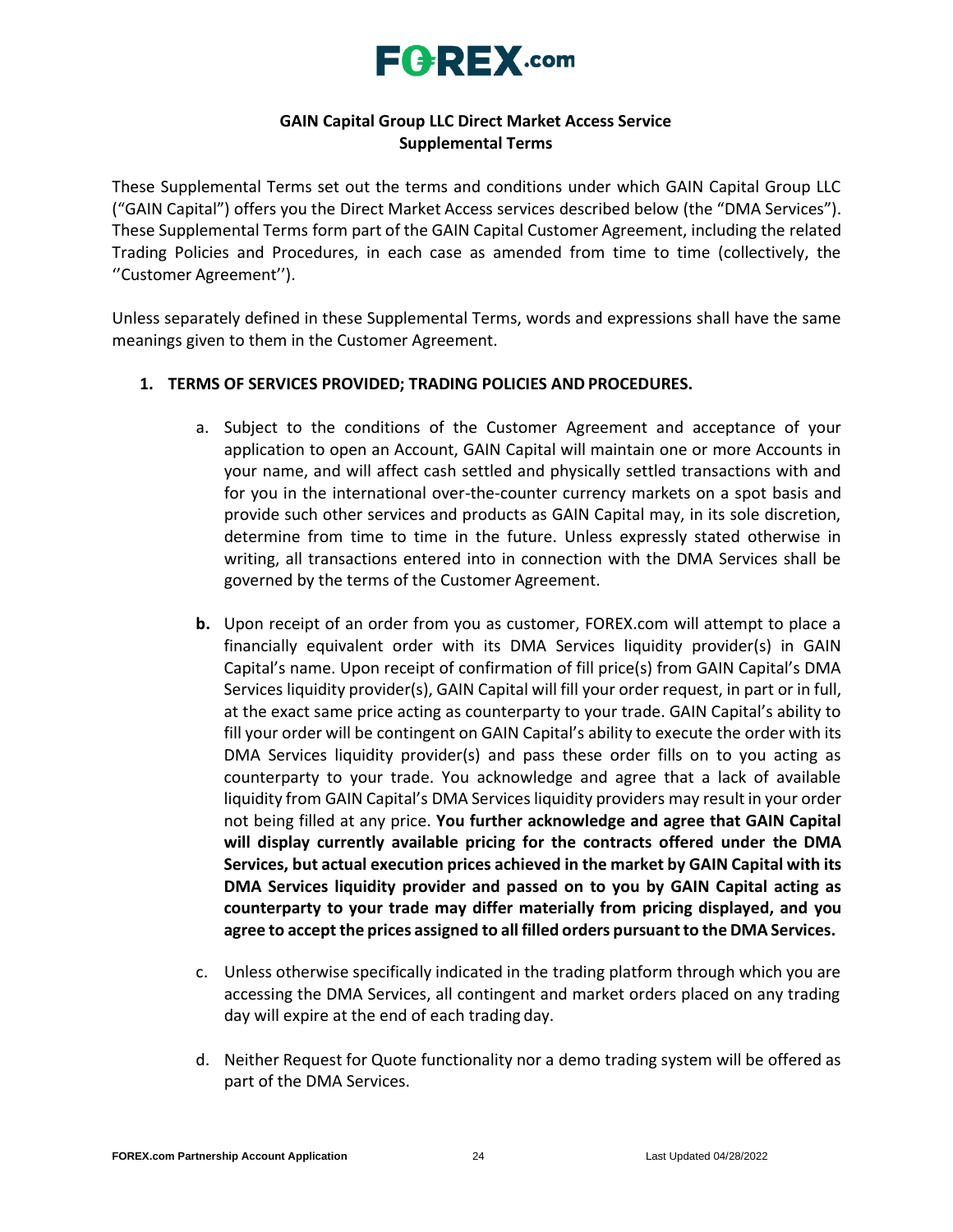

## **GAIN Capital Group LLC Direct Market Access Service Supplemental Terms**

These Supplemental Terms set out the terms and conditions under which GAIN Capital Group LLC ("GAIN Capital") offers you the Direct Market Access services described below (the "DMA Services"). These Supplemental Terms form part of the GAIN Capital Customer Agreement, including the related Trading Policies and Procedures, in each case as amended from time to time (collectively, the ''Customer Agreement'').

Unless separately defined in these Supplemental Terms, words and expressions shall have the same meanings given to them in the Customer Agreement.

## **1. TERMS OF SERVICES PROVIDED; TRADING POLICIES AND PROCEDURES.**

- a. Subject to the conditions of the Customer Agreement and acceptance of your application to open an Account, GAIN Capital will maintain one or more Accounts in your name, and will affect cash settled and physically settled transactions with and for you in the international over-the-counter currency markets on a spot basis and provide such other services and products as GAIN Capital may, in its sole discretion, determine from time to time in the future. Unless expressly stated otherwise in writing, all transactions entered into in connection with the DMA Services shall be governed by the terms of the Customer Agreement.
- **b.** Upon receipt of an order from you as customer, FOREX.com will attempt to place a financially equivalent order with its DMA Services liquidity provider(s) in GAIN Capital's name. Upon receipt of confirmation of fill price(s) from GAIN Capital's DMA Services liquidity provider(s), GAIN Capital will fill your order request, in part or in full, at the exact same price acting as counterparty to your trade. GAIN Capital's ability to fill your order will be contingent on GAIN Capital's ability to execute the order with its DMA Services liquidity provider(s) and pass these order fills on to you acting as counterparty to your trade. You acknowledge and agree that a lack of available liquidity from GAIN Capital's DMA Services liquidity providers may result in your order not being filled at any price. **You further acknowledge and agree that GAIN Capital will display currently available pricing for the contracts offered under the DMA Services, but actual execution prices achieved in the market by GAIN Capital with its DMA Services liquidity provider and passed on to you by GAIN Capital acting as counterparty to your trade may differ materially from pricing displayed, and you agree to accept the prices assigned to all filled orders pursuantto the DMA Services.**
- c. Unless otherwise specifically indicated in the trading platform through which you are accessing the DMA Services, all contingent and market orders placed on any trading day will expire at the end of each trading day.
- d. Neither Request for Quote functionality nor a demo trading system will be offered as part of the DMA Services.